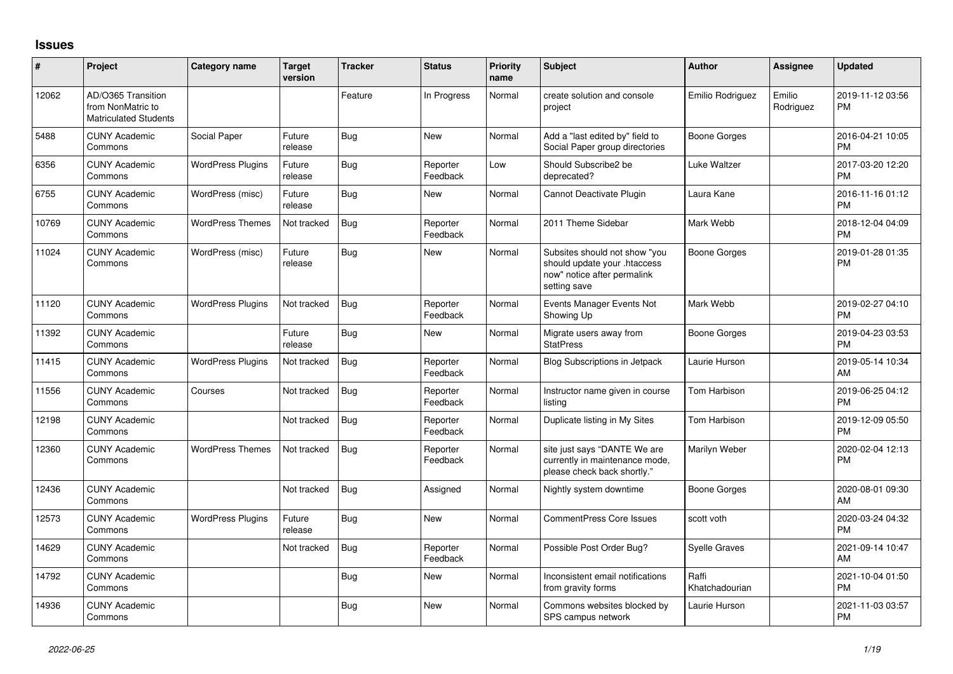## **Issues**

| #     | Project                                                                 | <b>Category name</b>     | <b>Target</b><br>version | <b>Tracker</b> | <b>Status</b>        | <b>Priority</b><br>name | <b>Subject</b>                                                                                               | <b>Author</b>           | <b>Assignee</b>     | <b>Updated</b>                |
|-------|-------------------------------------------------------------------------|--------------------------|--------------------------|----------------|----------------------|-------------------------|--------------------------------------------------------------------------------------------------------------|-------------------------|---------------------|-------------------------------|
| 12062 | AD/O365 Transition<br>from NonMatric to<br><b>Matriculated Students</b> |                          |                          | Feature        | In Progress          | Normal                  | create solution and console<br>project                                                                       | Emilio Rodriguez        | Emilio<br>Rodriguez | 2019-11-12 03:56<br><b>PM</b> |
| 5488  | <b>CUNY Academic</b><br>Commons                                         | Social Paper             | Future<br>release        | <b>Bug</b>     | <b>New</b>           | Normal                  | Add a "last edited by" field to<br>Social Paper group directories                                            | <b>Boone Gorges</b>     |                     | 2016-04-21 10:05<br><b>PM</b> |
| 6356  | <b>CUNY Academic</b><br>Commons                                         | <b>WordPress Plugins</b> | Future<br>release        | <b>Bug</b>     | Reporter<br>Feedback | Low                     | Should Subscribe2 be<br>deprecated?                                                                          | Luke Waltzer            |                     | 2017-03-20 12:20<br><b>PM</b> |
| 6755  | <b>CUNY Academic</b><br>Commons                                         | WordPress (misc)         | Future<br>release        | <b>Bug</b>     | <b>New</b>           | Normal                  | Cannot Deactivate Plugin                                                                                     | Laura Kane              |                     | 2016-11-16 01:12<br><b>PM</b> |
| 10769 | <b>CUNY Academic</b><br>Commons                                         | <b>WordPress Themes</b>  | Not tracked              | <b>Bug</b>     | Reporter<br>Feedback | Normal                  | 2011 Theme Sidebar                                                                                           | Mark Webb               |                     | 2018-12-04 04:09<br><b>PM</b> |
| 11024 | <b>CUNY Academic</b><br>Commons                                         | WordPress (misc)         | Future<br>release        | <b>Bug</b>     | <b>New</b>           | Normal                  | Subsites should not show "you<br>should update your .htaccess<br>now" notice after permalink<br>setting save | <b>Boone Gorges</b>     |                     | 2019-01-28 01:35<br><b>PM</b> |
| 11120 | <b>CUNY Academic</b><br>Commons                                         | <b>WordPress Plugins</b> | Not tracked              | Bug            | Reporter<br>Feedback | Normal                  | Events Manager Events Not<br>Showing Up                                                                      | Mark Webb               |                     | 2019-02-27 04:10<br><b>PM</b> |
| 11392 | <b>CUNY Academic</b><br>Commons                                         |                          | Future<br>release        | Bug            | <b>New</b>           | Normal                  | Migrate users away from<br><b>StatPress</b>                                                                  | <b>Boone Gorges</b>     |                     | 2019-04-23 03:53<br><b>PM</b> |
| 11415 | <b>CUNY Academic</b><br>Commons                                         | <b>WordPress Plugins</b> | Not tracked              | Bug            | Reporter<br>Feedback | Normal                  | <b>Blog Subscriptions in Jetpack</b>                                                                         | Laurie Hurson           |                     | 2019-05-14 10:34<br>AM        |
| 11556 | <b>CUNY Academic</b><br>Commons                                         | Courses                  | Not tracked              | <b>Bug</b>     | Reporter<br>Feedback | Normal                  | Instructor name given in course<br>listina                                                                   | Tom Harbison            |                     | 2019-06-25 04:12<br><b>PM</b> |
| 12198 | <b>CUNY Academic</b><br>Commons                                         |                          | Not tracked              | <b>Bug</b>     | Reporter<br>Feedback | Normal                  | Duplicate listing in My Sites                                                                                | Tom Harbison            |                     | 2019-12-09 05:50<br><b>PM</b> |
| 12360 | <b>CUNY Academic</b><br>Commons                                         | <b>WordPress Themes</b>  | Not tracked              | Bug            | Reporter<br>Feedback | Normal                  | site just says "DANTE We are<br>currently in maintenance mode,<br>please check back shortly."                | Marilyn Weber           |                     | 2020-02-04 12:13<br><b>PM</b> |
| 12436 | <b>CUNY Academic</b><br>Commons                                         |                          | Not tracked              | <b>Bug</b>     | Assigned             | Normal                  | Nightly system downtime                                                                                      | Boone Gorges            |                     | 2020-08-01 09:30<br>AM        |
| 12573 | <b>CUNY Academic</b><br>Commons                                         | <b>WordPress Plugins</b> | Future<br>release        | <b>Bug</b>     | <b>New</b>           | Normal                  | <b>CommentPress Core Issues</b>                                                                              | scott voth              |                     | 2020-03-24 04:32<br><b>PM</b> |
| 14629 | <b>CUNY Academic</b><br>Commons                                         |                          | Not tracked              | Bug            | Reporter<br>Feedback | Normal                  | Possible Post Order Bug?                                                                                     | <b>Syelle Graves</b>    |                     | 2021-09-14 10:47<br>AM        |
| 14792 | <b>CUNY Academic</b><br>Commons                                         |                          |                          | <b>Bug</b>     | New                  | Normal                  | Inconsistent email notifications<br>from gravity forms                                                       | Raffi<br>Khatchadourian |                     | 2021-10-04 01:50<br><b>PM</b> |
| 14936 | <b>CUNY Academic</b><br>Commons                                         |                          |                          | Bug            | <b>New</b>           | Normal                  | Commons websites blocked by<br>SPS campus network                                                            | Laurie Hurson           |                     | 2021-11-03 03:57<br><b>PM</b> |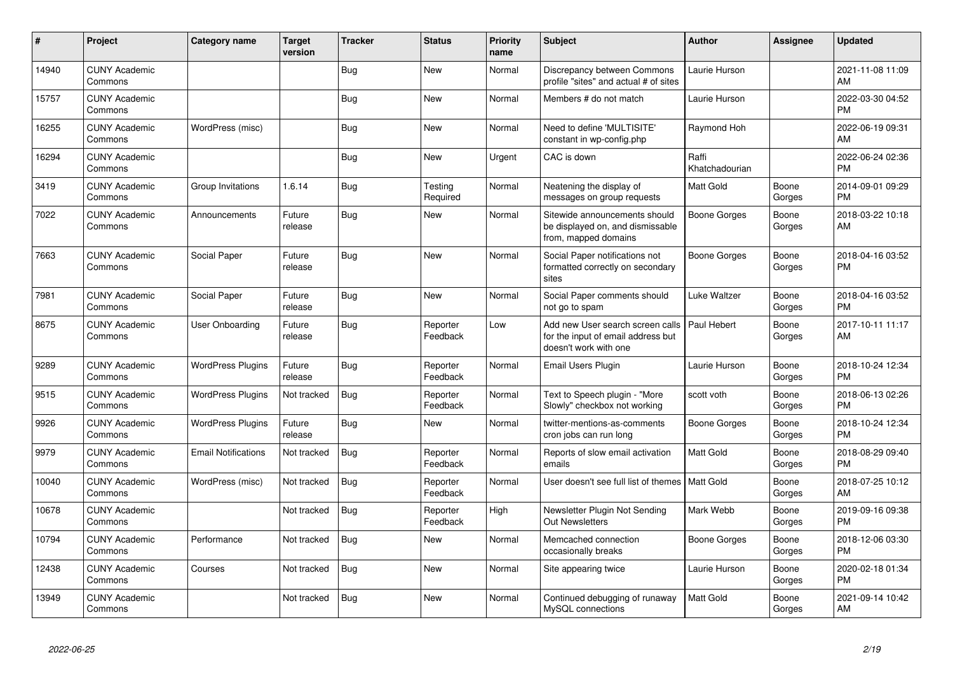| #     | Project                         | <b>Category name</b>       | <b>Target</b><br>version | <b>Tracker</b> | <b>Status</b>        | <b>Priority</b><br>name | <b>Subject</b>                                                                                  | <b>Author</b>           | <b>Assignee</b> | <b>Updated</b>                |
|-------|---------------------------------|----------------------------|--------------------------|----------------|----------------------|-------------------------|-------------------------------------------------------------------------------------------------|-------------------------|-----------------|-------------------------------|
| 14940 | <b>CUNY Academic</b><br>Commons |                            |                          | <b>Bug</b>     | <b>New</b>           | Normal                  | Discrepancy between Commons<br>profile "sites" and actual # of sites                            | Laurie Hurson           |                 | 2021-11-08 11:09<br>AM        |
| 15757 | <b>CUNY Academic</b><br>Commons |                            |                          | <b>Bug</b>     | <b>New</b>           | Normal                  | Members # do not match                                                                          | Laurie Hurson           |                 | 2022-03-30 04:52<br><b>PM</b> |
| 16255 | <b>CUNY Academic</b><br>Commons | WordPress (misc)           |                          | <b>Bug</b>     | <b>New</b>           | Normal                  | Need to define 'MULTISITE'<br>constant in wp-config.php                                         | Raymond Hoh             |                 | 2022-06-19 09:31<br>AM        |
| 16294 | <b>CUNY Academic</b><br>Commons |                            |                          | <b>Bug</b>     | <b>New</b>           | Urgent                  | CAC is down                                                                                     | Raffi<br>Khatchadourian |                 | 2022-06-24 02:36<br><b>PM</b> |
| 3419  | <b>CUNY Academic</b><br>Commons | Group Invitations          | 1.6.14                   | <b>Bug</b>     | Testing<br>Required  | Normal                  | Neatening the display of<br>messages on group requests                                          | Matt Gold               | Boone<br>Gorges | 2014-09-01 09:29<br><b>PM</b> |
| 7022  | <b>CUNY Academic</b><br>Commons | Announcements              | Future<br>release        | Bug            | <b>New</b>           | Normal                  | Sitewide announcements should<br>be displayed on, and dismissable<br>from, mapped domains       | Boone Gorges            | Boone<br>Gorges | 2018-03-22 10:18<br>AM        |
| 7663  | <b>CUNY Academic</b><br>Commons | Social Paper               | Future<br>release        | <b>Bug</b>     | <b>New</b>           | Normal                  | Social Paper notifications not<br>formatted correctly on secondary<br>sites                     | Boone Gorges            | Boone<br>Gorges | 2018-04-16 03:52<br><b>PM</b> |
| 7981  | <b>CUNY Academic</b><br>Commons | Social Paper               | Future<br>release        | Bug            | <b>New</b>           | Normal                  | Social Paper comments should<br>not go to spam                                                  | Luke Waltzer            | Boone<br>Gorges | 2018-04-16 03:52<br><b>PM</b> |
| 8675  | <b>CUNY Academic</b><br>Commons | User Onboarding            | Future<br>release        | Bug            | Reporter<br>Feedback | Low                     | Add new User search screen calls<br>for the input of email address but<br>doesn't work with one | Paul Hebert             | Boone<br>Gorges | 2017-10-11 11:17<br>AM        |
| 9289  | <b>CUNY Academic</b><br>Commons | <b>WordPress Plugins</b>   | Future<br>release        | Bug            | Reporter<br>Feedback | Normal                  | <b>Email Users Plugin</b>                                                                       | Laurie Hurson           | Boone<br>Gorges | 2018-10-24 12:34<br><b>PM</b> |
| 9515  | <b>CUNY Academic</b><br>Commons | <b>WordPress Plugins</b>   | Not tracked              | Bug            | Reporter<br>Feedback | Normal                  | Text to Speech plugin - "More<br>Slowly" checkbox not working                                   | scott voth              | Boone<br>Gorges | 2018-06-13 02:26<br><b>PM</b> |
| 9926  | <b>CUNY Academic</b><br>Commons | <b>WordPress Plugins</b>   | Future<br>release        | <b>Bug</b>     | <b>New</b>           | Normal                  | twitter-mentions-as-comments<br>cron jobs can run long                                          | Boone Gorges            | Boone<br>Gorges | 2018-10-24 12:34<br><b>PM</b> |
| 9979  | <b>CUNY Academic</b><br>Commons | <b>Email Notifications</b> | Not tracked              | <b>Bug</b>     | Reporter<br>Feedback | Normal                  | Reports of slow email activation<br>emails                                                      | <b>Matt Gold</b>        | Boone<br>Gorges | 2018-08-29 09:40<br><b>PM</b> |
| 10040 | <b>CUNY Academic</b><br>Commons | WordPress (misc)           | Not tracked              | <b>Bug</b>     | Reporter<br>Feedback | Normal                  | User doesn't see full list of themes   Matt Gold                                                |                         | Boone<br>Gorges | 2018-07-25 10:12<br>AM        |
| 10678 | <b>CUNY Academic</b><br>Commons |                            | Not tracked              | <b>Bug</b>     | Reporter<br>Feedback | High                    | Newsletter Plugin Not Sending<br><b>Out Newsletters</b>                                         | Mark Webb               | Boone<br>Gorges | 2019-09-16 09:38<br><b>PM</b> |
| 10794 | <b>CUNY Academic</b><br>Commons | Performance                | Not tracked              | <b>Bug</b>     | <b>New</b>           | Normal                  | Memcached connection<br>occasionally breaks                                                     | Boone Gorges            | Boone<br>Gorges | 2018-12-06 03:30<br><b>PM</b> |
| 12438 | <b>CUNY Academic</b><br>Commons | Courses                    | Not tracked              | Bug            | <b>New</b>           | Normal                  | Site appearing twice                                                                            | Laurie Hurson           | Boone<br>Gorges | 2020-02-18 01:34<br><b>PM</b> |
| 13949 | <b>CUNY Academic</b><br>Commons |                            | Not tracked              | Bug            | <b>New</b>           | Normal                  | Continued debugging of runaway<br>MySQL connections                                             | Matt Gold               | Boone<br>Gorges | 2021-09-14 10:42<br>AM        |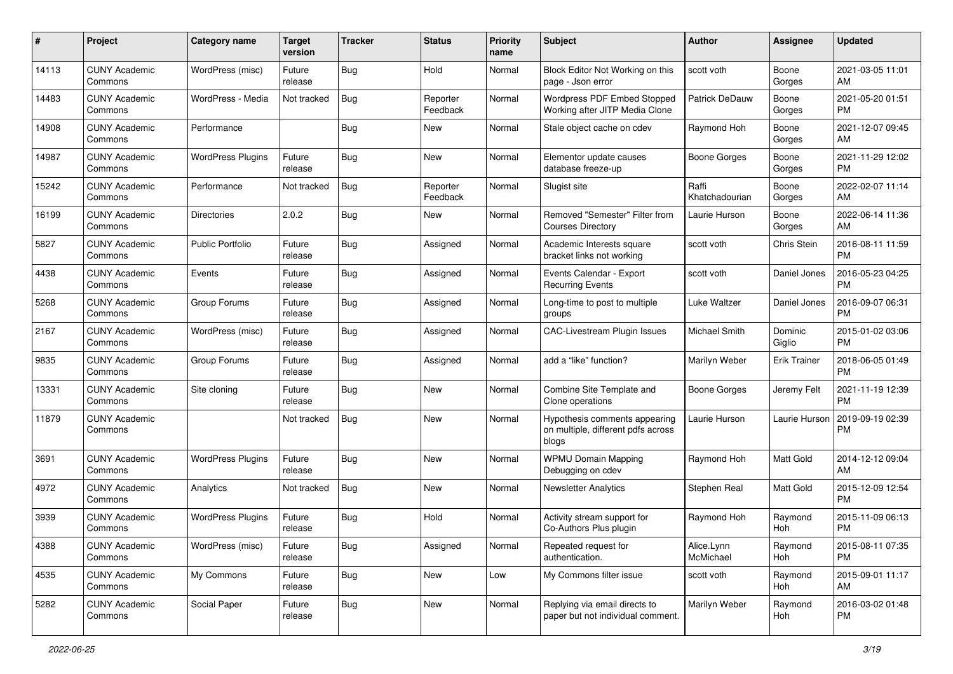| #     | Project                         | <b>Category name</b>     | <b>Target</b><br>version | <b>Tracker</b> | <b>Status</b>        | <b>Priority</b><br>name | Subject                                                                      | Author                  | <b>Assignee</b>     | <b>Updated</b>                |
|-------|---------------------------------|--------------------------|--------------------------|----------------|----------------------|-------------------------|------------------------------------------------------------------------------|-------------------------|---------------------|-------------------------------|
| 14113 | <b>CUNY Academic</b><br>Commons | WordPress (misc)         | Future<br>release        | <b>Bug</b>     | Hold                 | Normal                  | Block Editor Not Working on this<br>page - Json error                        | scott voth              | Boone<br>Gorges     | 2021-03-05 11:01<br>AM        |
| 14483 | <b>CUNY Academic</b><br>Commons | WordPress - Media        | Not tracked              | <b>Bug</b>     | Reporter<br>Feedback | Normal                  | Wordpress PDF Embed Stopped<br>Working after JITP Media Clone                | Patrick DeDauw          | Boone<br>Gorges     | 2021-05-20 01:51<br><b>PM</b> |
| 14908 | <b>CUNY Academic</b><br>Commons | Performance              |                          | <b>Bug</b>     | New                  | Normal                  | Stale object cache on cdev                                                   | Raymond Hoh             | Boone<br>Gorges     | 2021-12-07 09:45<br>AM        |
| 14987 | <b>CUNY Academic</b><br>Commons | <b>WordPress Plugins</b> | Future<br>release        | Bug            | New                  | Normal                  | Elementor update causes<br>database freeze-up                                | Boone Gorges            | Boone<br>Gorges     | 2021-11-29 12:02<br><b>PM</b> |
| 15242 | <b>CUNY Academic</b><br>Commons | Performance              | Not tracked              | <b>Bug</b>     | Reporter<br>Feedback | Normal                  | Slugist site                                                                 | Raffi<br>Khatchadourian | Boone<br>Gorges     | 2022-02-07 11:14<br>AM        |
| 16199 | <b>CUNY Academic</b><br>Commons | <b>Directories</b>       | 2.0.2                    | <b>Bug</b>     | New                  | Normal                  | Removed "Semester" Filter from<br><b>Courses Directory</b>                   | Laurie Hurson           | Boone<br>Gorges     | 2022-06-14 11:36<br>AM        |
| 5827  | <b>CUNY Academic</b><br>Commons | <b>Public Portfolio</b>  | Future<br>release        | <b>Bug</b>     | Assigned             | Normal                  | Academic Interests square<br>bracket links not working                       | scott voth              | Chris Stein         | 2016-08-11 11:59<br><b>PM</b> |
| 4438  | <b>CUNY Academic</b><br>Commons | Events                   | Future<br>release        | <b>Bug</b>     | Assigned             | Normal                  | Events Calendar - Export<br><b>Recurring Events</b>                          | scott voth              | Daniel Jones        | 2016-05-23 04:25<br><b>PM</b> |
| 5268  | <b>CUNY Academic</b><br>Commons | Group Forums             | Future<br>release        | <b>Bug</b>     | Assigned             | Normal                  | Long-time to post to multiple<br>groups                                      | Luke Waltzer            | Daniel Jones        | 2016-09-07 06:31<br><b>PM</b> |
| 2167  | <b>CUNY Academic</b><br>Commons | WordPress (misc)         | Future<br>release        | <b>Bug</b>     | Assigned             | Normal                  | CAC-Livestream Plugin Issues                                                 | Michael Smith           | Dominic<br>Giglio   | 2015-01-02 03:06<br><b>PM</b> |
| 9835  | <b>CUNY Academic</b><br>Commons | Group Forums             | Future<br>release        | Bug            | Assigned             | Normal                  | add a "like" function?                                                       | Marilyn Weber           | <b>Erik Trainer</b> | 2018-06-05 01:49<br><b>PM</b> |
| 13331 | <b>CUNY Academic</b><br>Commons | Site cloning             | Future<br>release        | <b>Bug</b>     | New                  | Normal                  | Combine Site Template and<br>Clone operations                                | Boone Gorges            | Jeremy Felt         | 2021-11-19 12:39<br><b>PM</b> |
| 11879 | <b>CUNY Academic</b><br>Commons |                          | Not tracked              | <b>Bug</b>     | New                  | Normal                  | Hypothesis comments appearing<br>on multiple, different pdfs across<br>blogs | Laurie Hurson           | Laurie Hurson       | 2019-09-19 02:39<br><b>PM</b> |
| 3691  | <b>CUNY Academic</b><br>Commons | <b>WordPress Plugins</b> | Future<br>release        | <b>Bug</b>     | New                  | Normal                  | <b>WPMU Domain Mapping</b><br>Debugging on cdev                              | Raymond Hoh             | <b>Matt Gold</b>    | 2014-12-12 09:04<br>AM        |
| 4972  | <b>CUNY Academic</b><br>Commons | Analytics                | Not tracked              | <b>Bug</b>     | New                  | Normal                  | <b>Newsletter Analytics</b>                                                  | Stephen Real            | Matt Gold           | 2015-12-09 12:54<br><b>PM</b> |
| 3939  | <b>CUNY Academic</b><br>Commons | <b>WordPress Plugins</b> | Future<br>release        | <b>Bug</b>     | Hold                 | Normal                  | Activity stream support for<br>Co-Authors Plus plugin                        | Raymond Hoh             | Raymond<br>Hoh      | 2015-11-09 06:13<br><b>PM</b> |
| 4388  | <b>CUNY Academic</b><br>Commons | WordPress (misc)         | Future<br>release        | <b>Bug</b>     | Assigned             | Normal                  | Repeated request for<br>authentication.                                      | Alice.Lynn<br>McMichael | Raymond<br>Hoh      | 2015-08-11 07:35<br>PM        |
| 4535  | <b>CUNY Academic</b><br>Commons | My Commons               | Future<br>release        | <b>Bug</b>     | New                  | Low                     | My Commons filter issue                                                      | scott voth              | Raymond<br>Hoh      | 2015-09-01 11:17<br>AM        |
| 5282  | <b>CUNY Academic</b><br>Commons | Social Paper             | Future<br>release        | <b>Bug</b>     | New                  | Normal                  | Replying via email directs to<br>paper but not individual comment.           | Marilyn Weber           | Raymond<br>Hoh      | 2016-03-02 01:48<br>PM        |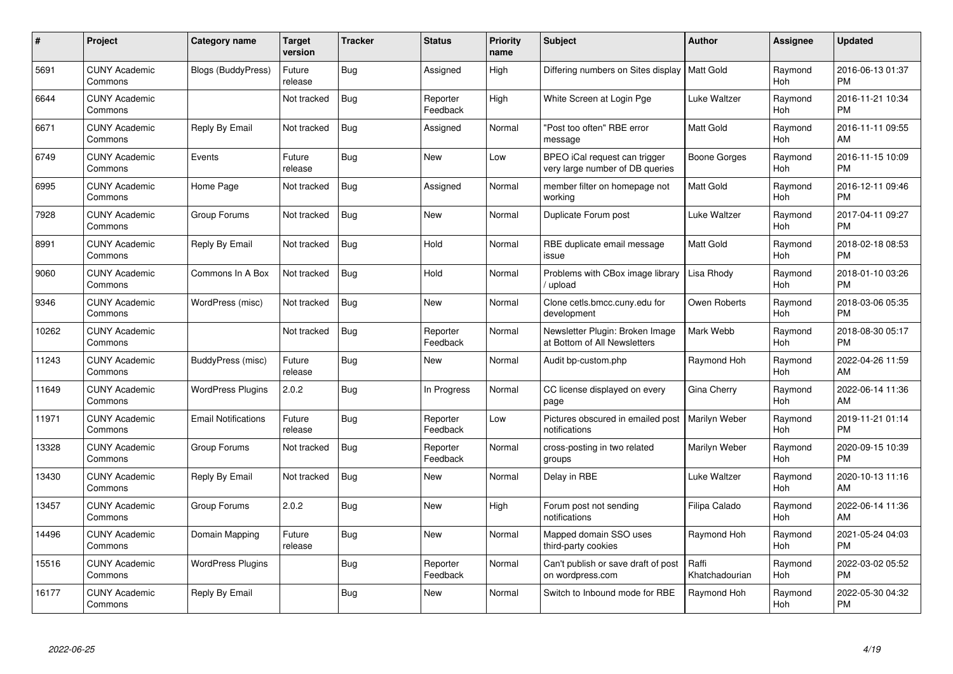| #     | Project                         | <b>Category name</b>       | Target<br>version | <b>Tracker</b> | <b>Status</b>        | <b>Priority</b><br>name | <b>Subject</b>                                                   | <b>Author</b>           | <b>Assignee</b>       | <b>Updated</b>                |
|-------|---------------------------------|----------------------------|-------------------|----------------|----------------------|-------------------------|------------------------------------------------------------------|-------------------------|-----------------------|-------------------------------|
| 5691  | <b>CUNY Academic</b><br>Commons | <b>Blogs (BuddyPress)</b>  | Future<br>release | Bug            | Assigned             | High                    | Differing numbers on Sites display                               | <b>Matt Gold</b>        | Raymond<br>Hoh        | 2016-06-13 01:37<br><b>PM</b> |
| 6644  | <b>CUNY Academic</b><br>Commons |                            | Not tracked       | Bug            | Reporter<br>Feedback | High                    | White Screen at Login Pge                                        | Luke Waltzer            | Raymond<br><b>Hoh</b> | 2016-11-21 10:34<br><b>PM</b> |
| 6671  | <b>CUNY Academic</b><br>Commons | Reply By Email             | Not tracked       | Bug            | Assigned             | Normal                  | "Post too often" RBE error<br>message                            | Matt Gold               | Raymond<br>Hoh        | 2016-11-11 09:55<br>AM        |
| 6749  | <b>CUNY Academic</b><br>Commons | Events                     | Future<br>release | <b>Bug</b>     | <b>New</b>           | Low                     | BPEO iCal request can trigger<br>very large number of DB queries | Boone Gorges            | Raymond<br><b>Hoh</b> | 2016-11-15 10:09<br><b>PM</b> |
| 6995  | <b>CUNY Academic</b><br>Commons | Home Page                  | Not tracked       | <b>Bug</b>     | Assigned             | Normal                  | member filter on homepage not<br>working                         | <b>Matt Gold</b>        | Raymond<br><b>Hoh</b> | 2016-12-11 09:46<br><b>PM</b> |
| 7928  | <b>CUNY Academic</b><br>Commons | Group Forums               | Not tracked       | Bug            | <b>New</b>           | Normal                  | Duplicate Forum post                                             | Luke Waltzer            | Raymond<br>Hoh        | 2017-04-11 09:27<br><b>PM</b> |
| 8991  | <b>CUNY Academic</b><br>Commons | Reply By Email             | Not tracked       | <b>Bug</b>     | Hold                 | Normal                  | RBE duplicate email message<br>issue                             | Matt Gold               | Raymond<br>Hoh        | 2018-02-18 08:53<br><b>PM</b> |
| 9060  | <b>CUNY Academic</b><br>Commons | Commons In A Box           | Not tracked       | Bug            | Hold                 | Normal                  | Problems with CBox image library<br>upload                       | Lisa Rhody              | Raymond<br>Hoh        | 2018-01-10 03:26<br><b>PM</b> |
| 9346  | <b>CUNY Academic</b><br>Commons | WordPress (misc)           | Not tracked       | <b>Bug</b>     | <b>New</b>           | Normal                  | Clone cetls.bmcc.cuny.edu for<br>development                     | Owen Roberts            | Raymond<br>Hoh        | 2018-03-06 05:35<br><b>PM</b> |
| 10262 | <b>CUNY Academic</b><br>Commons |                            | Not tracked       | <b>Bug</b>     | Reporter<br>Feedback | Normal                  | Newsletter Plugin: Broken Image<br>at Bottom of All Newsletters  | Mark Webb               | Raymond<br>Hoh        | 2018-08-30 05:17<br><b>PM</b> |
| 11243 | <b>CUNY Academic</b><br>Commons | BuddyPress (misc)          | Future<br>release | <b>Bug</b>     | <b>New</b>           | Normal                  | Audit bp-custom.php                                              | Raymond Hoh             | Raymond<br><b>Hoh</b> | 2022-04-26 11:59<br>AM        |
| 11649 | <b>CUNY Academic</b><br>Commons | <b>WordPress Plugins</b>   | 2.0.2             | <b>Bug</b>     | In Progress          | Normal                  | CC license displayed on every<br>page                            | Gina Cherry             | Raymond<br>Hoh        | 2022-06-14 11:36<br>AM        |
| 11971 | <b>CUNY Academic</b><br>Commons | <b>Email Notifications</b> | Future<br>release | Bug            | Reporter<br>Feedback | Low                     | Pictures obscured in emailed post  <br>notifications             | <b>Marilyn Weber</b>    | Raymond<br>Hoh        | 2019-11-21 01:14<br><b>PM</b> |
| 13328 | <b>CUNY Academic</b><br>Commons | Group Forums               | Not tracked       | Bug            | Reporter<br>Feedback | Normal                  | cross-posting in two related<br>groups                           | Marilyn Weber           | Raymond<br>Hoh        | 2020-09-15 10:39<br><b>PM</b> |
| 13430 | <b>CUNY Academic</b><br>Commons | Reply By Email             | Not tracked       | Bug            | <b>New</b>           | Normal                  | Delay in RBE                                                     | Luke Waltzer            | Raymond<br>Hoh        | 2020-10-13 11:16<br>AM        |
| 13457 | <b>CUNY Academic</b><br>Commons | Group Forums               | 2.0.2             | <b>Bug</b>     | <b>New</b>           | High                    | Forum post not sending<br>notifications                          | Filipa Calado           | Raymond<br>Hoh        | 2022-06-14 11:36<br>AM        |
| 14496 | <b>CUNY Academic</b><br>Commons | Domain Mapping             | Future<br>release | Bug            | <b>New</b>           | Normal                  | Mapped domain SSO uses<br>third-party cookies                    | Raymond Hoh             | Raymond<br><b>Hoh</b> | 2021-05-24 04:03<br><b>PM</b> |
| 15516 | <b>CUNY Academic</b><br>Commons | <b>WordPress Plugins</b>   |                   | <b>Bug</b>     | Reporter<br>Feedback | Normal                  | Can't publish or save draft of post<br>on wordpress.com          | Raffi<br>Khatchadourian | Raymond<br>Hoh        | 2022-03-02 05:52<br><b>PM</b> |
| 16177 | <b>CUNY Academic</b><br>Commons | Reply By Email             |                   | <b>Bug</b>     | <b>New</b>           | Normal                  | Switch to Inbound mode for RBE                                   | Raymond Hoh             | Raymond<br>Hoh        | 2022-05-30 04:32<br>PM        |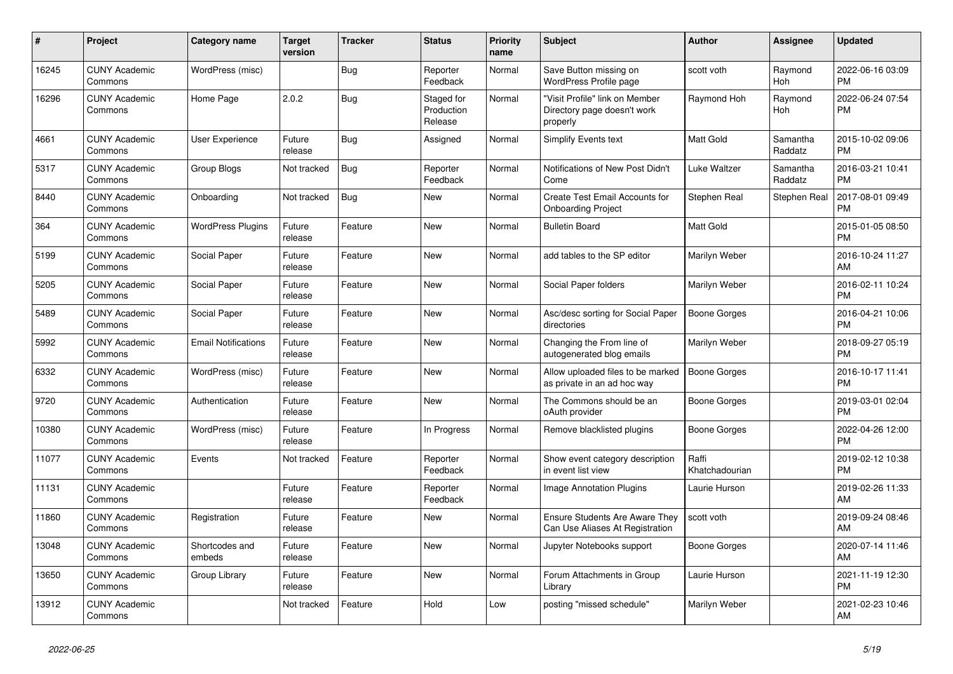| #     | Project                         | Category name              | <b>Target</b><br>version | <b>Tracker</b> | <b>Status</b>                       | <b>Priority</b><br>name | <b>Subject</b>                                                            | <b>Author</b>           | <b>Assignee</b>       | <b>Updated</b>                |
|-------|---------------------------------|----------------------------|--------------------------|----------------|-------------------------------------|-------------------------|---------------------------------------------------------------------------|-------------------------|-----------------------|-------------------------------|
| 16245 | <b>CUNY Academic</b><br>Commons | WordPress (misc)           |                          | <b>Bug</b>     | Reporter<br>Feedback                | Normal                  | Save Button missing on<br>WordPress Profile page                          | scott voth              | Raymond<br><b>Hoh</b> | 2022-06-16 03:09<br><b>PM</b> |
| 16296 | <b>CUNY Academic</b><br>Commons | Home Page                  | 2.0.2                    | <b>Bug</b>     | Staged for<br>Production<br>Release | Normal                  | "Visit Profile" link on Member<br>Directory page doesn't work<br>properly | Raymond Hoh             | Raymond<br>Hoh        | 2022-06-24 07:54<br><b>PM</b> |
| 4661  | <b>CUNY Academic</b><br>Commons | <b>User Experience</b>     | Future<br>release        | Bug            | Assigned                            | Normal                  | <b>Simplify Events text</b>                                               | Matt Gold               | Samantha<br>Raddatz   | 2015-10-02 09:06<br><b>PM</b> |
| 5317  | <b>CUNY Academic</b><br>Commons | <b>Group Blogs</b>         | Not tracked              | Bug            | Reporter<br>Feedback                | Normal                  | Notifications of New Post Didn't<br>Come                                  | Luke Waltzer            | Samantha<br>Raddatz   | 2016-03-21 10:41<br><b>PM</b> |
| 8440  | <b>CUNY Academic</b><br>Commons | Onboarding                 | Not tracked              | Bug            | <b>New</b>                          | Normal                  | Create Test Email Accounts for<br><b>Onboarding Project</b>               | Stephen Real            | Stephen Real          | 2017-08-01 09:49<br><b>PM</b> |
| 364   | <b>CUNY Academic</b><br>Commons | <b>WordPress Plugins</b>   | Future<br>release        | Feature        | <b>New</b>                          | Normal                  | <b>Bulletin Board</b>                                                     | <b>Matt Gold</b>        |                       | 2015-01-05 08:50<br><b>PM</b> |
| 5199  | <b>CUNY Academic</b><br>Commons | Social Paper               | Future<br>release        | Feature        | <b>New</b>                          | Normal                  | add tables to the SP editor                                               | Marilyn Weber           |                       | 2016-10-24 11:27<br>AM        |
| 5205  | <b>CUNY Academic</b><br>Commons | Social Paper               | Future<br>release        | Feature        | <b>New</b>                          | Normal                  | Social Paper folders                                                      | Marilyn Weber           |                       | 2016-02-11 10:24<br><b>PM</b> |
| 5489  | <b>CUNY Academic</b><br>Commons | Social Paper               | Future<br>release        | Feature        | <b>New</b>                          | Normal                  | Asc/desc sorting for Social Paper<br>directories                          | <b>Boone Gorges</b>     |                       | 2016-04-21 10:06<br><b>PM</b> |
| 5992  | <b>CUNY Academic</b><br>Commons | <b>Email Notifications</b> | Future<br>release        | Feature        | <b>New</b>                          | Normal                  | Changing the From line of<br>autogenerated blog emails                    | Marilyn Weber           |                       | 2018-09-27 05:19<br><b>PM</b> |
| 6332  | <b>CUNY Academic</b><br>Commons | WordPress (misc)           | Future<br>release        | Feature        | <b>New</b>                          | Normal                  | Allow uploaded files to be marked<br>as private in an ad hoc way          | <b>Boone Gorges</b>     |                       | 2016-10-17 11:41<br><b>PM</b> |
| 9720  | <b>CUNY Academic</b><br>Commons | Authentication             | Future<br>release        | Feature        | New                                 | Normal                  | The Commons should be an<br>oAuth provider                                | Boone Gorges            |                       | 2019-03-01 02:04<br><b>PM</b> |
| 10380 | <b>CUNY Academic</b><br>Commons | WordPress (misc)           | Future<br>release        | Feature        | In Progress                         | Normal                  | Remove blacklisted plugins                                                | Boone Gorges            |                       | 2022-04-26 12:00<br><b>PM</b> |
| 11077 | <b>CUNY Academic</b><br>Commons | Events                     | Not tracked              | Feature        | Reporter<br>Feedback                | Normal                  | Show event category description<br>in event list view                     | Raffi<br>Khatchadourian |                       | 2019-02-12 10:38<br><b>PM</b> |
| 11131 | <b>CUNY Academic</b><br>Commons |                            | Future<br>release        | Feature        | Reporter<br>Feedback                | Normal                  | Image Annotation Plugins                                                  | Laurie Hurson           |                       | 2019-02-26 11:33<br>AM        |
| 11860 | <b>CUNY Academic</b><br>Commons | Registration               | Future<br>release        | Feature        | <b>New</b>                          | Normal                  | <b>Ensure Students Are Aware They</b><br>Can Use Aliases At Registration  | scott voth              |                       | 2019-09-24 08:46<br>AM        |
| 13048 | <b>CUNY Academic</b><br>Commons | Shortcodes and<br>embeds   | Future<br>release        | Feature        | <b>New</b>                          | Normal                  | Jupyter Notebooks support                                                 | Boone Gorges            |                       | 2020-07-14 11:46<br>AM        |
| 13650 | <b>CUNY Academic</b><br>Commons | Group Library              | Future<br>release        | Feature        | <b>New</b>                          | Normal                  | Forum Attachments in Group<br>Library                                     | Laurie Hurson           |                       | 2021-11-19 12:30<br><b>PM</b> |
| 13912 | <b>CUNY Academic</b><br>Commons |                            | Not tracked              | Feature        | Hold                                | Low                     | posting "missed schedule"                                                 | Marilyn Weber           |                       | 2021-02-23 10:46<br>AM        |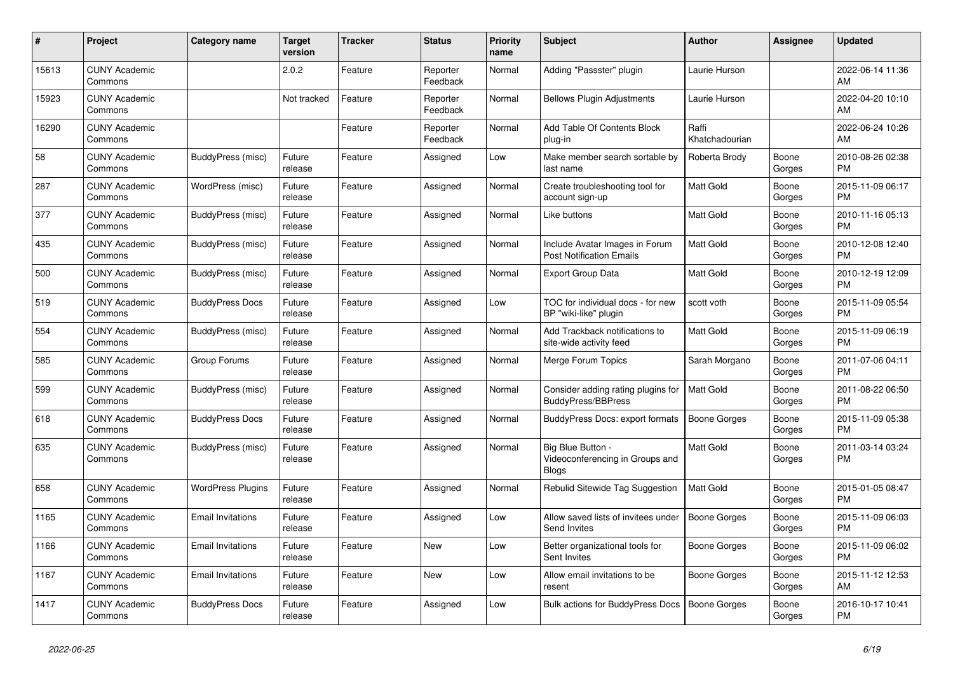| #     | Project                         | <b>Category name</b>     | <b>Target</b><br>version | <b>Tracker</b> | <b>Status</b>        | <b>Priority</b><br>name | <b>Subject</b>                                                       | <b>Author</b>           | <b>Assignee</b> | <b>Updated</b>                |
|-------|---------------------------------|--------------------------|--------------------------|----------------|----------------------|-------------------------|----------------------------------------------------------------------|-------------------------|-----------------|-------------------------------|
| 15613 | <b>CUNY Academic</b><br>Commons |                          | 2.0.2                    | Feature        | Reporter<br>Feedback | Normal                  | Adding "Passster" plugin                                             | Laurie Hurson           |                 | 2022-06-14 11:36<br>AM        |
| 15923 | <b>CUNY Academic</b><br>Commons |                          | Not tracked              | Feature        | Reporter<br>Feedback | Normal                  | <b>Bellows Plugin Adjustments</b>                                    | Laurie Hurson           |                 | 2022-04-20 10:10<br>AM        |
| 16290 | <b>CUNY Academic</b><br>Commons |                          |                          | Feature        | Reporter<br>Feedback | Normal                  | Add Table Of Contents Block<br>plug-in                               | Raffi<br>Khatchadourian |                 | 2022-06-24 10:26<br>AM        |
| 58    | <b>CUNY Academic</b><br>Commons | BuddyPress (misc)        | Future<br>release        | Feature        | Assigned             | Low                     | Make member search sortable by<br>last name                          | Roberta Brody           | Boone<br>Gorges | 2010-08-26 02:38<br><b>PM</b> |
| 287   | <b>CUNY Academic</b><br>Commons | WordPress (misc)         | Future<br>release        | Feature        | Assigned             | Normal                  | Create troubleshooting tool for<br>account sign-up                   | <b>Matt Gold</b>        | Boone<br>Gorges | 2015-11-09 06:17<br><b>PM</b> |
| 377   | <b>CUNY Academic</b><br>Commons | BuddyPress (misc)        | Future<br>release        | Feature        | Assigned             | Normal                  | Like buttons                                                         | Matt Gold               | Boone<br>Gorges | 2010-11-16 05:13<br><b>PM</b> |
| 435   | <b>CUNY Academic</b><br>Commons | BuddyPress (misc)        | Future<br>release        | Feature        | Assigned             | Normal                  | Include Avatar Images in Forum<br><b>Post Notification Emails</b>    | <b>Matt Gold</b>        | Boone<br>Gorges | 2010-12-08 12:40<br><b>PM</b> |
| 500   | <b>CUNY Academic</b><br>Commons | BuddyPress (misc)        | Future<br>release        | Feature        | Assigned             | Normal                  | <b>Export Group Data</b>                                             | Matt Gold               | Boone<br>Gorges | 2010-12-19 12:09<br><b>PM</b> |
| 519   | <b>CUNY Academic</b><br>Commons | <b>BuddyPress Docs</b>   | Future<br>release        | Feature        | Assigned             | Low                     | TOC for individual docs - for new<br>BP "wiki-like" plugin           | scott voth              | Boone<br>Gorges | 2015-11-09 05:54<br><b>PM</b> |
| 554   | <b>CUNY Academic</b><br>Commons | BuddyPress (misc)        | Future<br>release        | Feature        | Assigned             | Normal                  | Add Trackback notifications to<br>site-wide activity feed            | <b>Matt Gold</b>        | Boone<br>Gorges | 2015-11-09 06:19<br><b>PM</b> |
| 585   | <b>CUNY Academic</b><br>Commons | Group Forums             | Future<br>release        | Feature        | Assigned             | Normal                  | Merge Forum Topics                                                   | Sarah Morgano           | Boone<br>Gorges | 2011-07-06 04:11<br><b>PM</b> |
| 599   | <b>CUNY Academic</b><br>Commons | BuddyPress (misc)        | Future<br>release        | Feature        | Assigned             | Normal                  | Consider adding rating plugins for<br>BuddyPress/BBPress             | <b>Matt Gold</b>        | Boone<br>Gorges | 2011-08-22 06:50<br><b>PM</b> |
| 618   | <b>CUNY Academic</b><br>Commons | <b>BuddyPress Docs</b>   | Future<br>release        | Feature        | Assigned             | Normal                  | BuddyPress Docs: export formats                                      | Boone Gorges            | Boone<br>Gorges | 2015-11-09 05:38<br><b>PM</b> |
| 635   | <b>CUNY Academic</b><br>Commons | BuddyPress (misc)        | Future<br>release        | Feature        | Assigned             | Normal                  | Big Blue Button -<br>Videoconferencing in Groups and<br><b>Blogs</b> | <b>Matt Gold</b>        | Boone<br>Gorges | 2011-03-14 03:24<br><b>PM</b> |
| 658   | <b>CUNY Academic</b><br>Commons | <b>WordPress Plugins</b> | Future<br>release        | Feature        | Assigned             | Normal                  | Rebulid Sitewide Tag Suggestion                                      | Matt Gold               | Boone<br>Gorges | 2015-01-05 08:47<br><b>PM</b> |
| 1165  | <b>CUNY Academic</b><br>Commons | <b>Email Invitations</b> | Future<br>release        | Feature        | Assigned             | Low                     | Allow saved lists of invitees under<br>Send Invites                  | <b>Boone Gorges</b>     | Boone<br>Gorges | 2015-11-09 06:03<br><b>PM</b> |
| 1166  | <b>CUNY Academic</b><br>Commons | <b>Email Invitations</b> | Future<br>release        | Feature        | <b>New</b>           | Low                     | Better organizational tools for<br>Sent Invites                      | Boone Gorges            | Boone<br>Gorges | 2015-11-09 06:02<br><b>PM</b> |
| 1167  | <b>CUNY Academic</b><br>Commons | <b>Email Invitations</b> | Future<br>release        | Feature        | <b>New</b>           | Low                     | Allow email invitations to be<br>resent                              | Boone Gorges            | Boone<br>Gorges | 2015-11-12 12:53<br>AM        |
| 1417  | <b>CUNY Academic</b><br>Commons | <b>BuddyPress Docs</b>   | Future<br>release        | Feature        | Assigned             | Low                     | Bulk actions for BuddyPress Docs                                     | Boone Gorges            | Boone<br>Gorges | 2016-10-17 10:41<br><b>PM</b> |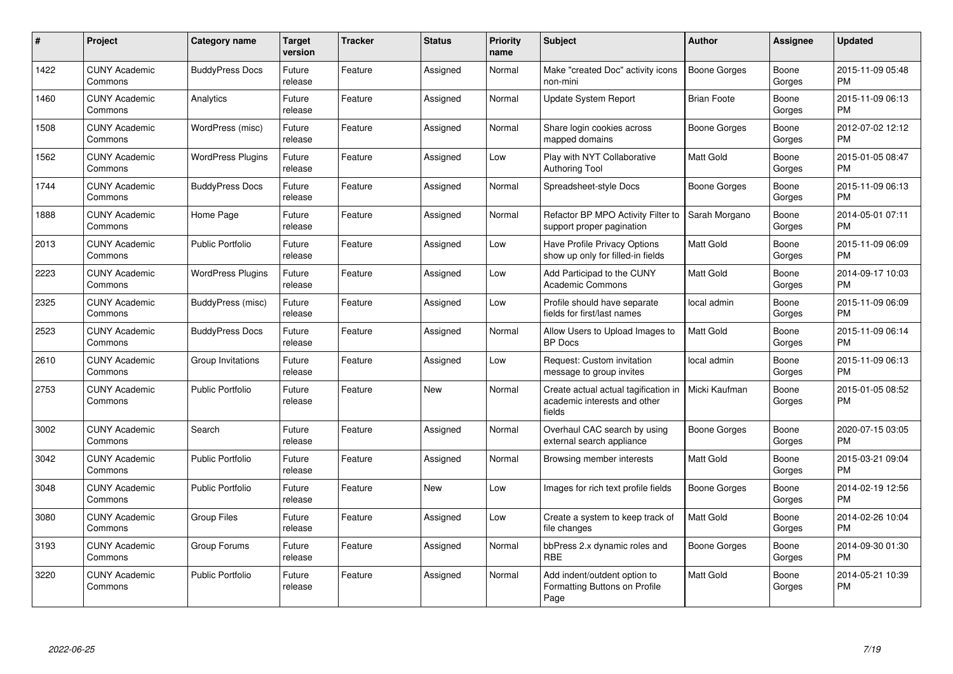| #    | Project                         | <b>Category name</b>     | <b>Target</b><br>version | <b>Tracker</b> | <b>Status</b> | <b>Priority</b><br>name | <b>Subject</b>                                                                 | <b>Author</b>       | <b>Assignee</b> | <b>Updated</b>                |
|------|---------------------------------|--------------------------|--------------------------|----------------|---------------|-------------------------|--------------------------------------------------------------------------------|---------------------|-----------------|-------------------------------|
| 1422 | <b>CUNY Academic</b><br>Commons | <b>BuddyPress Docs</b>   | Future<br>release        | Feature        | Assigned      | Normal                  | Make "created Doc" activity icons<br>non-mini                                  | <b>Boone Gorges</b> | Boone<br>Gorges | 2015-11-09 05:48<br><b>PM</b> |
| 1460 | <b>CUNY Academic</b><br>Commons | Analytics                | Future<br>release        | Feature        | Assigned      | Normal                  | <b>Update System Report</b>                                                    | <b>Brian Foote</b>  | Boone<br>Gorges | 2015-11-09 06:13<br><b>PM</b> |
| 1508 | <b>CUNY Academic</b><br>Commons | WordPress (misc)         | Future<br>release        | Feature        | Assigned      | Normal                  | Share login cookies across<br>mapped domains                                   | Boone Gorges        | Boone<br>Gorges | 2012-07-02 12:12<br><b>PM</b> |
| 1562 | <b>CUNY Academic</b><br>Commons | <b>WordPress Plugins</b> | Future<br>release        | Feature        | Assigned      | Low                     | Play with NYT Collaborative<br><b>Authoring Tool</b>                           | <b>Matt Gold</b>    | Boone<br>Gorges | 2015-01-05 08:47<br><b>PM</b> |
| 1744 | <b>CUNY Academic</b><br>Commons | <b>BuddyPress Docs</b>   | Future<br>release        | Feature        | Assigned      | Normal                  | Spreadsheet-style Docs                                                         | Boone Gorges        | Boone<br>Gorges | 2015-11-09 06:13<br><b>PM</b> |
| 1888 | <b>CUNY Academic</b><br>Commons | Home Page                | Future<br>release        | Feature        | Assigned      | Normal                  | Refactor BP MPO Activity Filter to<br>support proper pagination                | Sarah Morgano       | Boone<br>Gorges | 2014-05-01 07:11<br><b>PM</b> |
| 2013 | <b>CUNY Academic</b><br>Commons | <b>Public Portfolio</b>  | Future<br>release        | Feature        | Assigned      | Low                     | Have Profile Privacy Options<br>show up only for filled-in fields              | Matt Gold           | Boone<br>Gorges | 2015-11-09 06:09<br><b>PM</b> |
| 2223 | <b>CUNY Academic</b><br>Commons | <b>WordPress Plugins</b> | Future<br>release        | Feature        | Assigned      | Low                     | Add Participad to the CUNY<br><b>Academic Commons</b>                          | Matt Gold           | Boone<br>Gorges | 2014-09-17 10:03<br><b>PM</b> |
| 2325 | <b>CUNY Academic</b><br>Commons | BuddyPress (misc)        | Future<br>release        | Feature        | Assigned      | Low                     | Profile should have separate<br>fields for first/last names                    | local admin         | Boone<br>Gorges | 2015-11-09 06:09<br><b>PM</b> |
| 2523 | <b>CUNY Academic</b><br>Commons | <b>BuddyPress Docs</b>   | Future<br>release        | Feature        | Assigned      | Normal                  | Allow Users to Upload Images to<br><b>BP</b> Docs                              | Matt Gold           | Boone<br>Gorges | 2015-11-09 06:14<br><b>PM</b> |
| 2610 | <b>CUNY Academic</b><br>Commons | Group Invitations        | Future<br>release        | Feature        | Assigned      | Low                     | Request: Custom invitation<br>message to group invites                         | local admin         | Boone<br>Gorges | 2015-11-09 06:13<br><b>PM</b> |
| 2753 | <b>CUNY Academic</b><br>Commons | Public Portfolio         | Future<br>release        | Feature        | <b>New</b>    | Normal                  | Create actual actual tagification in<br>academic interests and other<br>fields | Micki Kaufman       | Boone<br>Gorges | 2015-01-05 08:52<br><b>PM</b> |
| 3002 | <b>CUNY Academic</b><br>Commons | Search                   | Future<br>release        | Feature        | Assigned      | Normal                  | Overhaul CAC search by using<br>external search appliance                      | Boone Gorges        | Boone<br>Gorges | 2020-07-15 03:05<br><b>PM</b> |
| 3042 | <b>CUNY Academic</b><br>Commons | <b>Public Portfolio</b>  | Future<br>release        | Feature        | Assigned      | Normal                  | Browsing member interests                                                      | <b>Matt Gold</b>    | Boone<br>Gorges | 2015-03-21 09:04<br><b>PM</b> |
| 3048 | <b>CUNY Academic</b><br>Commons | <b>Public Portfolio</b>  | Future<br>release        | Feature        | <b>New</b>    | Low                     | Images for rich text profile fields                                            | Boone Gorges        | Boone<br>Gorges | 2014-02-19 12:56<br><b>PM</b> |
| 3080 | <b>CUNY Academic</b><br>Commons | <b>Group Files</b>       | Future<br>release        | Feature        | Assigned      | Low                     | Create a system to keep track of<br>file changes                               | <b>Matt Gold</b>    | Boone<br>Gorges | 2014-02-26 10:04<br><b>PM</b> |
| 3193 | <b>CUNY Academic</b><br>Commons | Group Forums             | Future<br>release        | Feature        | Assigned      | Normal                  | bbPress 2.x dynamic roles and<br><b>RBE</b>                                    | Boone Gorges        | Boone<br>Gorges | 2014-09-30 01:30<br><b>PM</b> |
| 3220 | <b>CUNY Academic</b><br>Commons | <b>Public Portfolio</b>  | Future<br>release        | Feature        | Assigned      | Normal                  | Add indent/outdent option to<br>Formatting Buttons on Profile<br>Page          | <b>Matt Gold</b>    | Boone<br>Gorges | 2014-05-21 10:39<br><b>PM</b> |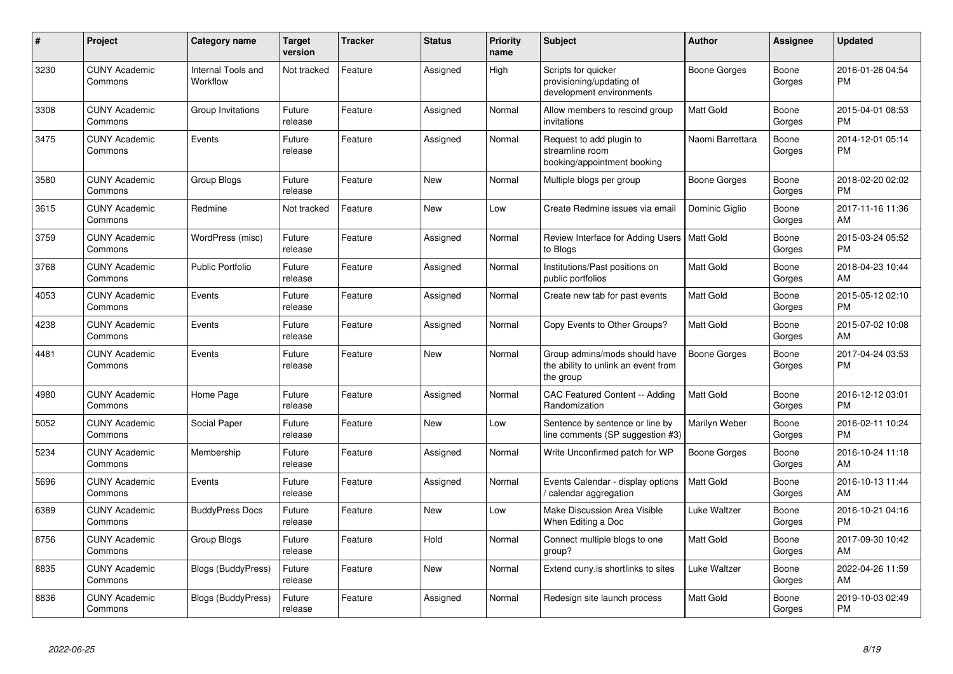| #    | Project                         | <b>Category name</b>           | <b>Target</b><br>version | <b>Tracker</b> | <b>Status</b> | <b>Priority</b><br>name | <b>Subject</b>                                                                    | <b>Author</b>       | <b>Assignee</b> | <b>Updated</b>                |
|------|---------------------------------|--------------------------------|--------------------------|----------------|---------------|-------------------------|-----------------------------------------------------------------------------------|---------------------|-----------------|-------------------------------|
| 3230 | <b>CUNY Academic</b><br>Commons | Internal Tools and<br>Workflow | Not tracked              | Feature        | Assigned      | High                    | Scripts for quicker<br>provisioning/updating of<br>development environments       | Boone Gorges        | Boone<br>Gorges | 2016-01-26 04:54<br><b>PM</b> |
| 3308 | <b>CUNY Academic</b><br>Commons | Group Invitations              | Future<br>release        | Feature        | Assigned      | Normal                  | Allow members to rescind group<br>invitations                                     | Matt Gold           | Boone<br>Gorges | 2015-04-01 08:53<br><b>PM</b> |
| 3475 | <b>CUNY Academic</b><br>Commons | Events                         | Future<br>release        | Feature        | Assigned      | Normal                  | Request to add plugin to<br>streamline room<br>booking/appointment booking        | Naomi Barrettara    | Boone<br>Gorges | 2014-12-01 05:14<br><b>PM</b> |
| 3580 | <b>CUNY Academic</b><br>Commons | <b>Group Blogs</b>             | Future<br>release        | Feature        | <b>New</b>    | Normal                  | Multiple blogs per group                                                          | <b>Boone Gorges</b> | Boone<br>Gorges | 2018-02-20 02:02<br><b>PM</b> |
| 3615 | <b>CUNY Academic</b><br>Commons | Redmine                        | Not tracked              | Feature        | <b>New</b>    | Low                     | Create Redmine issues via emai                                                    | Dominic Giglio      | Boone<br>Gorges | 2017-11-16 11:36<br>AM        |
| 3759 | <b>CUNY Academic</b><br>Commons | WordPress (misc)               | Future<br>release        | Feature        | Assigned      | Normal                  | Review Interface for Adding Users<br>to Blogs                                     | Matt Gold           | Boone<br>Gorges | 2015-03-24 05:52<br><b>PM</b> |
| 3768 | <b>CUNY Academic</b><br>Commons | <b>Public Portfolio</b>        | Future<br>release        | Feature        | Assigned      | Normal                  | Institutions/Past positions on<br>public portfolios                               | Matt Gold           | Boone<br>Gorges | 2018-04-23 10:44<br>AM        |
| 4053 | <b>CUNY Academic</b><br>Commons | Events                         | Future<br>release        | Feature        | Assigned      | Normal                  | Create new tab for past events                                                    | Matt Gold           | Boone<br>Gorges | 2015-05-12 02:10<br><b>PM</b> |
| 4238 | <b>CUNY Academic</b><br>Commons | Events                         | Future<br>release        | Feature        | Assigned      | Normal                  | Copy Events to Other Groups?                                                      | Matt Gold           | Boone<br>Gorges | 2015-07-02 10:08<br>AM        |
| 4481 | <b>CUNY Academic</b><br>Commons | Events                         | Future<br>release        | Feature        | New           | Normal                  | Group admins/mods should have<br>the ability to unlink an event from<br>the group | <b>Boone Gorges</b> | Boone<br>Gorges | 2017-04-24 03:53<br><b>PM</b> |
| 4980 | <b>CUNY Academic</b><br>Commons | Home Page                      | Future<br>release        | Feature        | Assigned      | Normal                  | CAC Featured Content -- Adding<br>Randomization                                   | Matt Gold           | Boone<br>Gorges | 2016-12-12 03:01<br><b>PM</b> |
| 5052 | <b>CUNY Academic</b><br>Commons | Social Paper                   | Future<br>release        | Feature        | <b>New</b>    | Low                     | Sentence by sentence or line by<br>line comments (SP suggestion #3)               | Marilyn Weber       | Boone<br>Gorges | 2016-02-11 10:24<br><b>PM</b> |
| 5234 | <b>CUNY Academic</b><br>Commons | Membership                     | Future<br>release        | Feature        | Assigned      | Normal                  | Write Unconfirmed patch for WP                                                    | <b>Boone Gorges</b> | Boone<br>Gorges | 2016-10-24 11:18<br>AM        |
| 5696 | <b>CUNY Academic</b><br>Commons | Events                         | Future<br>release        | Feature        | Assigned      | Normal                  | Events Calendar - display options<br>calendar aggregation                         | Matt Gold           | Boone<br>Gorges | 2016-10-13 11:44<br>AM        |
| 6389 | <b>CUNY Academic</b><br>Commons | <b>BuddyPress Docs</b>         | Future<br>release        | Feature        | New           | Low                     | Make Discussion Area Visible<br>When Editing a Doc                                | Luke Waltzer        | Boone<br>Gorges | 2016-10-21 04:16<br><b>PM</b> |
| 8756 | <b>CUNY Academic</b><br>Commons | <b>Group Blogs</b>             | Future<br>release        | Feature        | Hold          | Normal                  | Connect multiple blogs to one<br>group?                                           | Matt Gold           | Boone<br>Gorges | 2017-09-30 10:42<br>AM        |
| 8835 | <b>CUNY Academic</b><br>Commons | <b>Blogs (BuddyPress)</b>      | Future<br>release        | Feature        | <b>New</b>    | Normal                  | Extend cuny.is shortlinks to sites                                                | <b>Luke Waltzer</b> | Boone<br>Gorges | 2022-04-26 11:59<br>AM        |
| 8836 | <b>CUNY Academic</b><br>Commons | <b>Blogs (BuddyPress)</b>      | Future<br>release        | Feature        | Assigned      | Normal                  | Redesign site launch process                                                      | Matt Gold           | Boone<br>Gorges | 2019-10-03 02:49<br><b>PM</b> |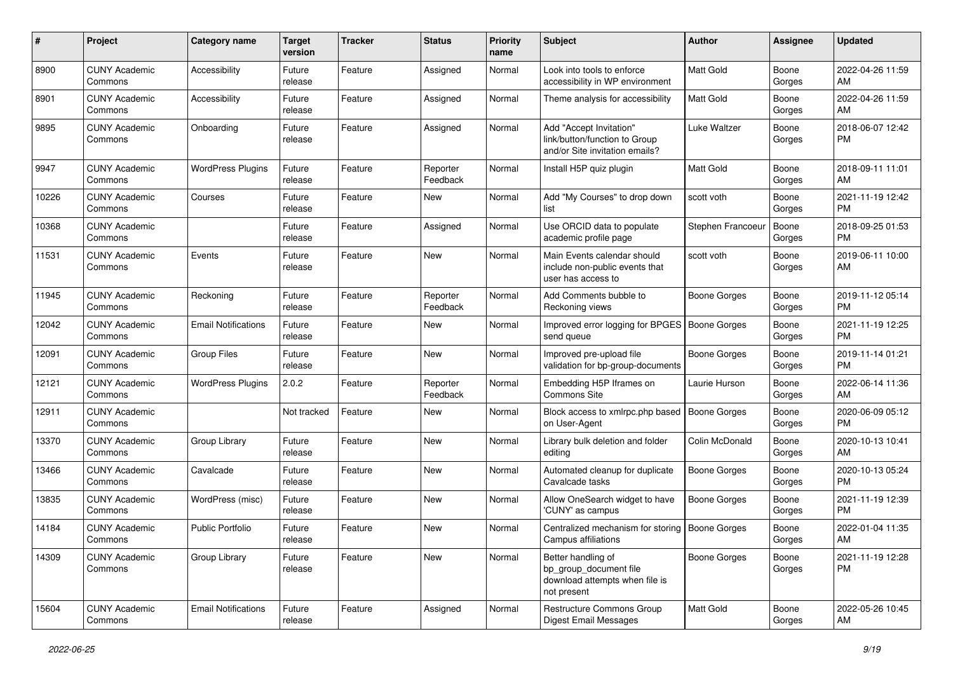| #     | Project                         | <b>Category name</b>       | <b>Target</b><br>version | <b>Tracker</b> | <b>Status</b>        | <b>Priority</b><br>name | Subject                                                                                       | Author              | Assignee        | <b>Updated</b>                |
|-------|---------------------------------|----------------------------|--------------------------|----------------|----------------------|-------------------------|-----------------------------------------------------------------------------------------------|---------------------|-----------------|-------------------------------|
| 8900  | <b>CUNY Academic</b><br>Commons | Accessibility              | Future<br>release        | Feature        | Assigned             | Normal                  | Look into tools to enforce<br>accessibility in WP environment                                 | Matt Gold           | Boone<br>Gorges | 2022-04-26 11:59<br>AM        |
| 8901  | <b>CUNY Academic</b><br>Commons | Accessibility              | Future<br>release        | Feature        | Assigned             | Normal                  | Theme analysis for accessibility                                                              | <b>Matt Gold</b>    | Boone<br>Gorges | 2022-04-26 11:59<br>AM        |
| 9895  | <b>CUNY Academic</b><br>Commons | Onboarding                 | Future<br>release        | Feature        | Assigned             | Normal                  | Add "Accept Invitation"<br>link/button/function to Group<br>and/or Site invitation emails?    | Luke Waltzer        | Boone<br>Gorges | 2018-06-07 12:42<br><b>PM</b> |
| 9947  | <b>CUNY Academic</b><br>Commons | <b>WordPress Plugins</b>   | Future<br>release        | Feature        | Reporter<br>Feedback | Normal                  | Install H5P quiz plugin                                                                       | <b>Matt Gold</b>    | Boone<br>Gorges | 2018-09-11 11:01<br>AM        |
| 10226 | <b>CUNY Academic</b><br>Commons | Courses                    | Future<br>release        | Feature        | New                  | Normal                  | Add "My Courses" to drop down<br>list                                                         | scott voth          | Boone<br>Gorges | 2021-11-19 12:42<br>PM        |
| 10368 | <b>CUNY Academic</b><br>Commons |                            | Future<br>release        | Feature        | Assigned             | Normal                  | Use ORCID data to populate<br>academic profile page                                           | Stephen Francoeur   | Boone<br>Gorges | 2018-09-25 01:53<br><b>PM</b> |
| 11531 | <b>CUNY Academic</b><br>Commons | Events                     | Future<br>release        | Feature        | New                  | Normal                  | Main Events calendar should<br>include non-public events that<br>user has access to           | scott voth          | Boone<br>Gorges | 2019-06-11 10:00<br>AM        |
| 11945 | <b>CUNY Academic</b><br>Commons | Reckoning                  | Future<br>release        | Feature        | Reporter<br>Feedback | Normal                  | Add Comments bubble to<br>Reckoning views                                                     | <b>Boone Gorges</b> | Boone<br>Gorges | 2019-11-12 05:14<br><b>PM</b> |
| 12042 | <b>CUNY Academic</b><br>Commons | <b>Email Notifications</b> | Future<br>release        | Feature        | New                  | Normal                  | Improved error logging for BPGES   Boone Gorges<br>send queue                                 |                     | Boone<br>Gorges | 2021-11-19 12:25<br>PM        |
| 12091 | <b>CUNY Academic</b><br>Commons | <b>Group Files</b>         | Future<br>release        | Feature        | <b>New</b>           | Normal                  | Improved pre-upload file<br>validation for bp-group-documents                                 | <b>Boone Gorges</b> | Boone<br>Gorges | 2019-11-14 01:21<br>PM        |
| 12121 | <b>CUNY Academic</b><br>Commons | <b>WordPress Plugins</b>   | 2.0.2                    | Feature        | Reporter<br>Feedback | Normal                  | Embedding H5P Iframes on<br>Commons Site                                                      | Laurie Hurson       | Boone<br>Gorges | 2022-06-14 11:36<br>AM        |
| 12911 | <b>CUNY Academic</b><br>Commons |                            | Not tracked              | Feature        | <b>New</b>           | Normal                  | Block access to xmlrpc.php based<br>on User-Agent                                             | Boone Gorges        | Boone<br>Gorges | 2020-06-09 05:12<br>PM        |
| 13370 | <b>CUNY Academic</b><br>Commons | Group Library              | Future<br>release        | Feature        | New                  | Normal                  | Library bulk deletion and folder<br>editing                                                   | Colin McDonald      | Boone<br>Gorges | 2020-10-13 10:41<br>AM        |
| 13466 | <b>CUNY Academic</b><br>Commons | Cavalcade                  | Future<br>release        | Feature        | <b>New</b>           | Normal                  | Automated cleanup for duplicate<br>Cavalcade tasks                                            | <b>Boone Gorges</b> | Boone<br>Gorges | 2020-10-13 05:24<br>PM        |
| 13835 | <b>CUNY Academic</b><br>Commons | WordPress (misc)           | Future<br>release        | Feature        | <b>New</b>           | Normal                  | Allow OneSearch widget to have<br>'CUNY' as campus                                            | <b>Boone Gorges</b> | Boone<br>Gorges | 2021-11-19 12:39<br>PM        |
| 14184 | <b>CUNY Academic</b><br>Commons | <b>Public Portfolio</b>    | Future<br>release        | Feature        | New                  | Normal                  | Centralized mechanism for storing   Boone Gorges<br>Campus affiliations                       |                     | Boone<br>Gorges | 2022-01-04 11:35<br>AM        |
| 14309 | <b>CUNY Academic</b><br>Commons | Group Library              | Future<br>release        | Feature        | New                  | Normal                  | Better handling of<br>bp_group_document file<br>download attempts when file is<br>not present | <b>Boone Gorges</b> | Boone<br>Gorges | 2021-11-19 12:28<br><b>PM</b> |
| 15604 | <b>CUNY Academic</b><br>Commons | <b>Email Notifications</b> | Future<br>release        | Feature        | Assigned             | Normal                  | <b>Restructure Commons Group</b><br>Digest Email Messages                                     | Matt Gold           | Boone<br>Gorges | 2022-05-26 10:45<br>AM        |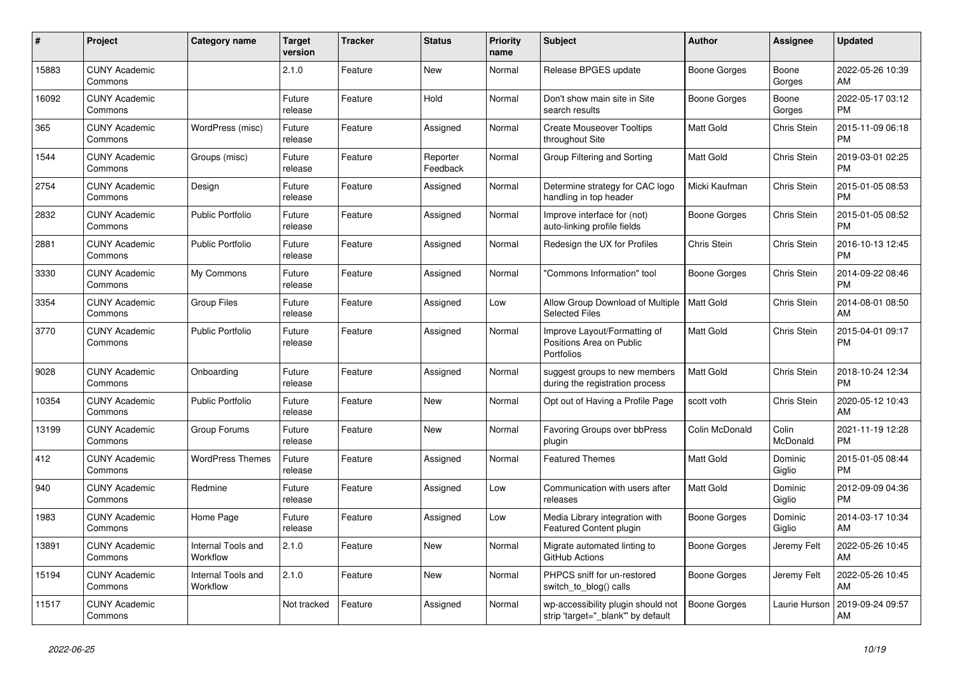| #     | <b>Project</b>                  | Category name                  | <b>Target</b><br>version | <b>Tracker</b> | <b>Status</b>        | <b>Priority</b><br>name | <b>Subject</b>                                                          | <b>Author</b>       | <b>Assignee</b>    | <b>Updated</b>                |
|-------|---------------------------------|--------------------------------|--------------------------|----------------|----------------------|-------------------------|-------------------------------------------------------------------------|---------------------|--------------------|-------------------------------|
| 15883 | <b>CUNY Academic</b><br>Commons |                                | 2.1.0                    | Feature        | <b>New</b>           | Normal                  | Release BPGES update                                                    | Boone Gorges        | Boone<br>Gorges    | 2022-05-26 10:39<br>AM        |
| 16092 | <b>CUNY Academic</b><br>Commons |                                | Future<br>release        | Feature        | Hold                 | Normal                  | Don't show main site in Site<br>search results                          | Boone Gorges        | Boone<br>Gorges    | 2022-05-17 03:12<br><b>PM</b> |
| 365   | <b>CUNY Academic</b><br>Commons | WordPress (misc)               | Future<br>release        | Feature        | Assigned             | Normal                  | <b>Create Mouseover Tooltips</b><br>throughout Site                     | Matt Gold           | Chris Stein        | 2015-11-09 06:18<br><b>PM</b> |
| 1544  | <b>CUNY Academic</b><br>Commons | Groups (misc)                  | Future<br>release        | Feature        | Reporter<br>Feedback | Normal                  | Group Filtering and Sorting                                             | <b>Matt Gold</b>    | Chris Stein        | 2019-03-01 02:25<br><b>PM</b> |
| 2754  | <b>CUNY Academic</b><br>Commons | Design                         | Future<br>release        | Feature        | Assigned             | Normal                  | Determine strategy for CAC logo<br>handling in top header               | Micki Kaufman       | Chris Stein        | 2015-01-05 08:53<br><b>PM</b> |
| 2832  | <b>CUNY Academic</b><br>Commons | <b>Public Portfolio</b>        | Future<br>release        | Feature        | Assigned             | Normal                  | Improve interface for (not)<br>auto-linking profile fields              | <b>Boone Gorges</b> | Chris Stein        | 2015-01-05 08:52<br><b>PM</b> |
| 2881  | <b>CUNY Academic</b><br>Commons | <b>Public Portfolio</b>        | Future<br>release        | Feature        | Assigned             | Normal                  | Redesign the UX for Profiles                                            | Chris Stein         | Chris Stein        | 2016-10-13 12:45<br><b>PM</b> |
| 3330  | <b>CUNY Academic</b><br>Commons | My Commons                     | Future<br>release        | Feature        | Assigned             | Normal                  | 'Commons Information" tool                                              | Boone Gorges        | Chris Stein        | 2014-09-22 08:46<br><b>PM</b> |
| 3354  | <b>CUNY Academic</b><br>Commons | <b>Group Files</b>             | Future<br>release        | Feature        | Assigned             | Low                     | Allow Group Download of Multiple<br><b>Selected Files</b>               | Matt Gold           | Chris Stein        | 2014-08-01 08:50<br>AM        |
| 3770  | <b>CUNY Academic</b><br>Commons | <b>Public Portfolio</b>        | Future<br>release        | Feature        | Assigned             | Normal                  | Improve Layout/Formatting of<br>Positions Area on Public<br>Portfolios  | <b>Matt Gold</b>    | Chris Stein        | 2015-04-01 09:17<br><b>PM</b> |
| 9028  | <b>CUNY Academic</b><br>Commons | Onboarding                     | Future<br>release        | Feature        | Assigned             | Normal                  | suggest groups to new members<br>during the registration process        | Matt Gold           | Chris Stein        | 2018-10-24 12:34<br><b>PM</b> |
| 10354 | <b>CUNY Academic</b><br>Commons | <b>Public Portfolio</b>        | Future<br>release        | Feature        | New                  | Normal                  | Opt out of Having a Profile Page                                        | scott voth          | <b>Chris Stein</b> | 2020-05-12 10:43<br>AM        |
| 13199 | <b>CUNY Academic</b><br>Commons | Group Forums                   | Future<br>release        | Feature        | <b>New</b>           | Normal                  | <b>Favoring Groups over bbPress</b><br>plugin                           | Colin McDonald      | Colin<br>McDonald  | 2021-11-19 12:28<br><b>PM</b> |
| 412   | <b>CUNY Academic</b><br>Commons | <b>WordPress Themes</b>        | Future<br>release        | Feature        | Assigned             | Normal                  | <b>Featured Themes</b>                                                  | <b>Matt Gold</b>    | Dominic<br>Giglio  | 2015-01-05 08:44<br><b>PM</b> |
| 940   | <b>CUNY Academic</b><br>Commons | Redmine                        | Future<br>release        | Feature        | Assigned             | Low                     | Communication with users after<br>releases                              | Matt Gold           | Dominic<br>Giglio  | 2012-09-09 04:36<br><b>PM</b> |
| 1983  | <b>CUNY Academic</b><br>Commons | Home Page                      | Future<br>release        | Feature        | Assigned             | Low                     | Media Library integration with<br>Featured Content plugin               | Boone Gorges        | Dominic<br>Giglio  | 2014-03-17 10:34<br>AM        |
| 13891 | <b>CUNY Academic</b><br>Commons | Internal Tools and<br>Workflow | 2.1.0                    | Feature        | <b>New</b>           | Normal                  | Migrate automated linting to<br>GitHub Actions                          | Boone Gorges        | Jeremy Felt        | 2022-05-26 10:45<br>AM        |
| 15194 | <b>CUNY Academic</b><br>Commons | Internal Tools and<br>Workflow | 2.1.0                    | Feature        | <b>New</b>           | Normal                  | PHPCS sniff for un-restored<br>switch_to_blog() calls                   | Boone Gorges        | Jeremy Felt        | 2022-05-26 10:45<br>AM        |
| 11517 | <b>CUNY Academic</b><br>Commons |                                | Not tracked              | Feature        | Assigned             | Normal                  | wp-accessibility plugin should not<br>strip 'target=" blank" by default | Boone Gorges        | Laurie Hurson      | 2019-09-24 09:57<br>AM        |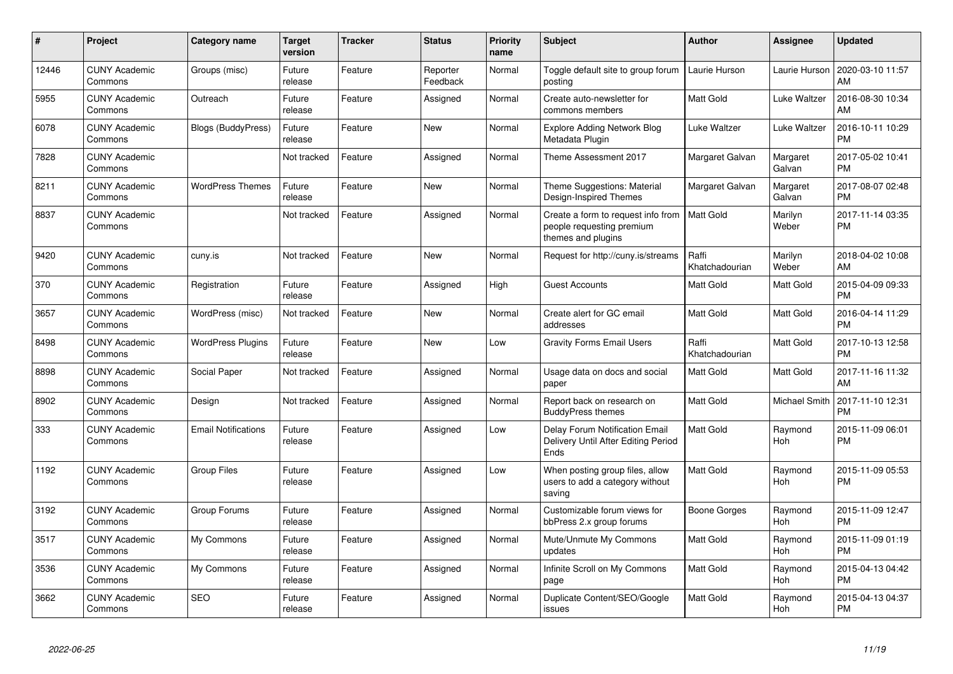| #     | Project                         | <b>Category name</b>       | <b>Target</b><br>version | <b>Tracker</b> | <b>Status</b>        | <b>Priority</b><br>name | <b>Subject</b>                                                                        | <b>Author</b>           | <b>Assignee</b>       | <b>Updated</b>                |
|-------|---------------------------------|----------------------------|--------------------------|----------------|----------------------|-------------------------|---------------------------------------------------------------------------------------|-------------------------|-----------------------|-------------------------------|
| 12446 | <b>CUNY Academic</b><br>Commons | Groups (misc)              | Future<br>release        | Feature        | Reporter<br>Feedback | Normal                  | Toggle default site to group forum<br>posting                                         | Laurie Hurson           | Laurie Hurson         | 2020-03-10 11:57<br>AM        |
| 5955  | <b>CUNY Academic</b><br>Commons | Outreach                   | Future<br>release        | Feature        | Assigned             | Normal                  | Create auto-newsletter for<br>commons members                                         | Matt Gold               | Luke Waltzer          | 2016-08-30 10:34<br>AM        |
| 6078  | <b>CUNY Academic</b><br>Commons | <b>Blogs (BuddyPress)</b>  | Future<br>release        | Feature        | <b>New</b>           | Normal                  | <b>Explore Adding Network Blog</b><br>Metadata Plugin                                 | Luke Waltzer            | Luke Waltzer          | 2016-10-11 10:29<br><b>PM</b> |
| 7828  | <b>CUNY Academic</b><br>Commons |                            | Not tracked              | Feature        | Assigned             | Normal                  | Theme Assessment 2017                                                                 | Margaret Galvan         | Margaret<br>Galvan    | 2017-05-02 10:41<br><b>PM</b> |
| 8211  | <b>CUNY Academic</b><br>Commons | <b>WordPress Themes</b>    | Future<br>release        | Feature        | <b>New</b>           | Normal                  | Theme Suggestions: Material<br>Design-Inspired Themes                                 | Margaret Galvan         | Margaret<br>Galvan    | 2017-08-07 02:48<br><b>PM</b> |
| 8837  | <b>CUNY Academic</b><br>Commons |                            | Not tracked              | Feature        | Assigned             | Normal                  | Create a form to request info from<br>people requesting premium<br>themes and plugins | <b>Matt Gold</b>        | Marilyn<br>Weber      | 2017-11-14 03:35<br><b>PM</b> |
| 9420  | <b>CUNY Academic</b><br>Commons | cuny.is                    | Not tracked              | Feature        | <b>New</b>           | Normal                  | Request for http://cuny.is/streams                                                    | Raffi<br>Khatchadourian | Marilyn<br>Weber      | 2018-04-02 10:08<br>AM        |
| 370   | <b>CUNY Academic</b><br>Commons | Registration               | Future<br>release        | Feature        | Assigned             | High                    | <b>Guest Accounts</b>                                                                 | Matt Gold               | Matt Gold             | 2015-04-09 09:33<br><b>PM</b> |
| 3657  | <b>CUNY Academic</b><br>Commons | WordPress (misc)           | Not tracked              | Feature        | <b>New</b>           | Normal                  | Create alert for GC email<br>addresses                                                | <b>Matt Gold</b>        | Matt Gold             | 2016-04-14 11:29<br><b>PM</b> |
| 8498  | <b>CUNY Academic</b><br>Commons | <b>WordPress Plugins</b>   | Future<br>release        | Feature        | <b>New</b>           | Low                     | <b>Gravity Forms Email Users</b>                                                      | Raffi<br>Khatchadourian | Matt Gold             | 2017-10-13 12:58<br><b>PM</b> |
| 8898  | <b>CUNY Academic</b><br>Commons | Social Paper               | Not tracked              | Feature        | Assigned             | Normal                  | Usage data on docs and social<br>paper                                                | Matt Gold               | Matt Gold             | 2017-11-16 11:32<br>AM        |
| 8902  | <b>CUNY Academic</b><br>Commons | Design                     | Not tracked              | Feature        | Assigned             | Normal                  | Report back on research on<br><b>BuddyPress themes</b>                                | Matt Gold               | Michael Smith         | 2017-11-10 12:31<br><b>PM</b> |
| 333   | <b>CUNY Academic</b><br>Commons | <b>Email Notifications</b> | Future<br>release        | Feature        | Assigned             | Low                     | <b>Delay Forum Notification Email</b><br>Delivery Until After Editing Period<br>Ends  | <b>Matt Gold</b>        | Raymond<br>Hoh        | 2015-11-09 06:01<br><b>PM</b> |
| 1192  | <b>CUNY Academic</b><br>Commons | <b>Group Files</b>         | Future<br>release        | Feature        | Assigned             | Low                     | When posting group files, allow<br>users to add a category without<br>saving          | <b>Matt Gold</b>        | Raymond<br>Hoh        | 2015-11-09 05:53<br><b>PM</b> |
| 3192  | <b>CUNY Academic</b><br>Commons | Group Forums               | Future<br>release        | Feature        | Assigned             | Normal                  | Customizable forum views for<br>bbPress 2.x group forums                              | Boone Gorges            | Raymond<br><b>Hoh</b> | 2015-11-09 12:47<br><b>PM</b> |
| 3517  | <b>CUNY Academic</b><br>Commons | My Commons                 | Future<br>release        | Feature        | Assigned             | Normal                  | Mute/Unmute My Commons<br>updates                                                     | <b>Matt Gold</b>        | Raymond<br><b>Hoh</b> | 2015-11-09 01:19<br><b>PM</b> |
| 3536  | <b>CUNY Academic</b><br>Commons | My Commons                 | Future<br>release        | Feature        | Assigned             | Normal                  | Infinite Scroll on My Commons<br>page                                                 | Matt Gold               | Raymond<br>Hoh        | 2015-04-13 04:42<br><b>PM</b> |
| 3662  | <b>CUNY Academic</b><br>Commons | <b>SEO</b>                 | Future<br>release        | Feature        | Assigned             | Normal                  | Duplicate Content/SEO/Google<br>issues                                                | <b>Matt Gold</b>        | Raymond<br>Hoh        | 2015-04-13 04:37<br>PM        |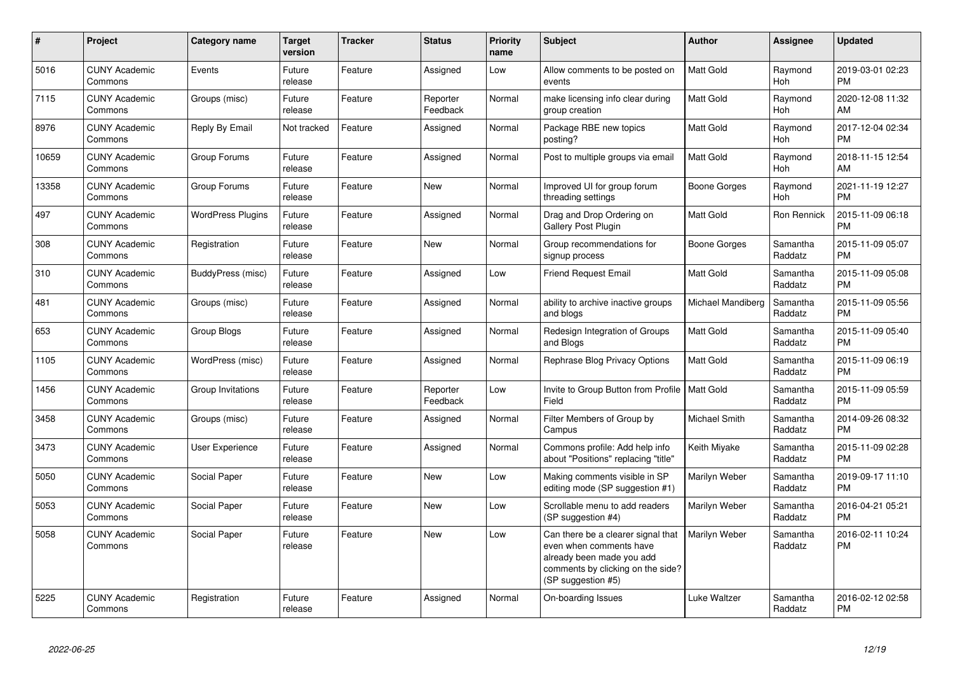| $\pmb{\#}$ | Project                         | <b>Category name</b>     | <b>Target</b><br>version | <b>Tracker</b> | <b>Status</b>        | <b>Priority</b><br>name | <b>Subject</b>                                                                                                                                        | Author              | <b>Assignee</b>       | <b>Updated</b>                |
|------------|---------------------------------|--------------------------|--------------------------|----------------|----------------------|-------------------------|-------------------------------------------------------------------------------------------------------------------------------------------------------|---------------------|-----------------------|-------------------------------|
| 5016       | <b>CUNY Academic</b><br>Commons | Events                   | Future<br>release        | Feature        | Assigned             | Low                     | Allow comments to be posted on<br>events                                                                                                              | <b>Matt Gold</b>    | Raymond<br><b>Hoh</b> | 2019-03-01 02:23<br><b>PM</b> |
| 7115       | <b>CUNY Academic</b><br>Commons | Groups (misc)            | Future<br>release        | Feature        | Reporter<br>Feedback | Normal                  | make licensing info clear during<br>group creation                                                                                                    | <b>Matt Gold</b>    | Raymond<br><b>Hoh</b> | 2020-12-08 11:32<br>AM        |
| 8976       | <b>CUNY Academic</b><br>Commons | Reply By Email           | Not tracked              | Feature        | Assigned             | Normal                  | Package RBE new topics<br>posting?                                                                                                                    | Matt Gold           | Raymond<br><b>Hoh</b> | 2017-12-04 02:34<br><b>PM</b> |
| 10659      | <b>CUNY Academic</b><br>Commons | Group Forums             | Future<br>release        | Feature        | Assigned             | Normal                  | Post to multiple groups via email                                                                                                                     | <b>Matt Gold</b>    | Raymond<br>Hoh        | 2018-11-15 12:54<br>AM        |
| 13358      | <b>CUNY Academic</b><br>Commons | Group Forums             | Future<br>release        | Feature        | New                  | Normal                  | Improved UI for group forum<br>threading settings                                                                                                     | <b>Boone Gorges</b> | Raymond<br>Hoh        | 2021-11-19 12:27<br><b>PM</b> |
| 497        | <b>CUNY Academic</b><br>Commons | <b>WordPress Plugins</b> | Future<br>release        | Feature        | Assigned             | Normal                  | Drag and Drop Ordering on<br><b>Gallery Post Plugin</b>                                                                                               | Matt Gold           | Ron Rennick           | 2015-11-09 06:18<br><b>PM</b> |
| 308        | <b>CUNY Academic</b><br>Commons | Registration             | Future<br>release        | Feature        | <b>New</b>           | Normal                  | Group recommendations for<br>signup process                                                                                                           | Boone Gorges        | Samantha<br>Raddatz   | 2015-11-09 05:07<br><b>PM</b> |
| 310        | <b>CUNY Academic</b><br>Commons | BuddyPress (misc)        | Future<br>release        | Feature        | Assigned             | Low                     | Friend Request Email                                                                                                                                  | <b>Matt Gold</b>    | Samantha<br>Raddatz   | 2015-11-09 05:08<br><b>PM</b> |
| 481        | <b>CUNY Academic</b><br>Commons | Groups (misc)            | Future<br>release        | Feature        | Assigned             | Normal                  | ability to archive inactive groups<br>and blogs                                                                                                       | Michael Mandiberg   | Samantha<br>Raddatz   | 2015-11-09 05:56<br><b>PM</b> |
| 653        | <b>CUNY Academic</b><br>Commons | Group Blogs              | Future<br>release        | Feature        | Assigned             | Normal                  | Redesign Integration of Groups<br>and Blogs                                                                                                           | Matt Gold           | Samantha<br>Raddatz   | 2015-11-09 05:40<br><b>PM</b> |
| 1105       | <b>CUNY Academic</b><br>Commons | WordPress (misc)         | Future<br>release        | Feature        | Assigned             | Normal                  | Rephrase Blog Privacy Options                                                                                                                         | <b>Matt Gold</b>    | Samantha<br>Raddatz   | 2015-11-09 06:19<br><b>PM</b> |
| 1456       | <b>CUNY Academic</b><br>Commons | Group Invitations        | Future<br>release        | Feature        | Reporter<br>Feedback | Low                     | Invite to Group Button from Profile   Matt Gold<br>Field                                                                                              |                     | Samantha<br>Raddatz   | 2015-11-09 05:59<br><b>PM</b> |
| 3458       | <b>CUNY Academic</b><br>Commons | Groups (misc)            | Future<br>release        | Feature        | Assigned             | Normal                  | Filter Members of Group by<br>Campus                                                                                                                  | Michael Smith       | Samantha<br>Raddatz   | 2014-09-26 08:32<br><b>PM</b> |
| 3473       | <b>CUNY Academic</b><br>Commons | <b>User Experience</b>   | Future<br>release        | Feature        | Assigned             | Normal                  | Commons profile: Add help info<br>about "Positions" replacing "title"                                                                                 | Keith Miyake        | Samantha<br>Raddatz   | 2015-11-09 02:28<br><b>PM</b> |
| 5050       | <b>CUNY Academic</b><br>Commons | Social Paper             | Future<br>release        | Feature        | <b>New</b>           | Low                     | Making comments visible in SP<br>editing mode (SP suggestion #1)                                                                                      | Marilyn Weber       | Samantha<br>Raddatz   | 2019-09-17 11:10<br><b>PM</b> |
| 5053       | <b>CUNY Academic</b><br>Commons | Social Paper             | Future<br>release        | Feature        | <b>New</b>           | Low                     | Scrollable menu to add readers<br>(SP suggestion #4)                                                                                                  | Marilyn Weber       | Samantha<br>Raddatz   | 2016-04-21 05:21<br><b>PM</b> |
| 5058       | <b>CUNY Academic</b><br>Commons | Social Paper             | Future<br>release        | Feature        | New                  | Low                     | Can there be a clearer signal that<br>even when comments have<br>already been made you add<br>comments by clicking on the side?<br>(SP suggestion #5) | Marilyn Weber       | Samantha<br>Raddatz   | 2016-02-11 10:24<br><b>PM</b> |
| 5225       | <b>CUNY Academic</b><br>Commons | Registration             | Future<br>release        | Feature        | Assigned             | Normal                  | On-boarding Issues                                                                                                                                    | Luke Waltzer        | Samantha<br>Raddatz   | 2016-02-12 02:58<br>PM        |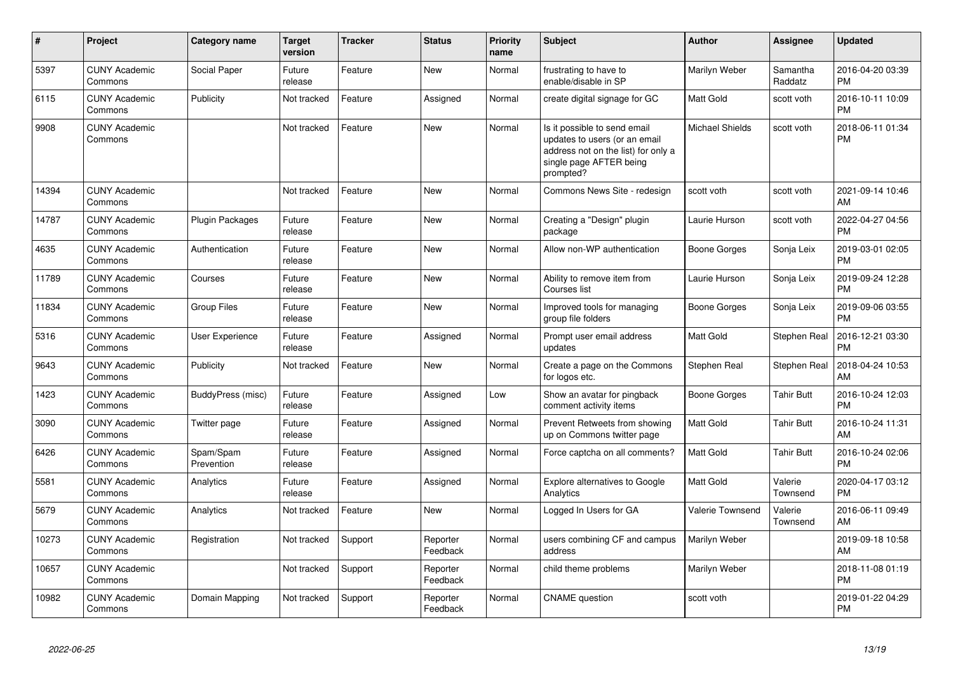| #     | Project                         | <b>Category name</b>    | Target<br>version | <b>Tracker</b> | <b>Status</b>        | <b>Priority</b><br>name | <b>Subject</b>                                                                                                                               | <b>Author</b>    | <b>Assignee</b>     | <b>Updated</b>                |
|-------|---------------------------------|-------------------------|-------------------|----------------|----------------------|-------------------------|----------------------------------------------------------------------------------------------------------------------------------------------|------------------|---------------------|-------------------------------|
| 5397  | <b>CUNY Academic</b><br>Commons | Social Paper            | Future<br>release | Feature        | <b>New</b>           | Normal                  | frustrating to have to<br>enable/disable in SP                                                                                               | Marilyn Weber    | Samantha<br>Raddatz | 2016-04-20 03:39<br><b>PM</b> |
| 6115  | <b>CUNY Academic</b><br>Commons | Publicity               | Not tracked       | Feature        | Assigned             | Normal                  | create digital signage for GC                                                                                                                | Matt Gold        | scott voth          | 2016-10-11 10:09<br><b>PM</b> |
| 9908  | <b>CUNY Academic</b><br>Commons |                         | Not tracked       | Feature        | New                  | Normal                  | Is it possible to send email<br>updates to users (or an email<br>address not on the list) for only a<br>single page AFTER being<br>prompted? | Michael Shields  | scott voth          | 2018-06-11 01:34<br><b>PM</b> |
| 14394 | <b>CUNY Academic</b><br>Commons |                         | Not tracked       | Feature        | <b>New</b>           | Normal                  | Commons News Site - redesign                                                                                                                 | scott voth       | scott voth          | 2021-09-14 10:46<br>AM        |
| 14787 | <b>CUNY Academic</b><br>Commons | <b>Plugin Packages</b>  | Future<br>release | Feature        | <b>New</b>           | Normal                  | Creating a "Design" plugin<br>package                                                                                                        | Laurie Hurson    | scott voth          | 2022-04-27 04:56<br><b>PM</b> |
| 4635  | <b>CUNY Academic</b><br>Commons | Authentication          | Future<br>release | Feature        | <b>New</b>           | Normal                  | Allow non-WP authentication                                                                                                                  | Boone Gorges     | Sonja Leix          | 2019-03-01 02:05<br><b>PM</b> |
| 11789 | <b>CUNY Academic</b><br>Commons | Courses                 | Future<br>release | Feature        | <b>New</b>           | Normal                  | Ability to remove item from<br>Courses list                                                                                                  | Laurie Hurson    | Sonja Leix          | 2019-09-24 12:28<br><b>PM</b> |
| 11834 | <b>CUNY Academic</b><br>Commons | <b>Group Files</b>      | Future<br>release | Feature        | <b>New</b>           | Normal                  | Improved tools for managing<br>group file folders                                                                                            | Boone Gorges     | Sonja Leix          | 2019-09-06 03:55<br><b>PM</b> |
| 5316  | <b>CUNY Academic</b><br>Commons | <b>User Experience</b>  | Future<br>release | Feature        | Assigned             | Normal                  | Prompt user email address<br>updates                                                                                                         | Matt Gold        | Stephen Real        | 2016-12-21 03:30<br><b>PM</b> |
| 9643  | <b>CUNY Academic</b><br>Commons | Publicity               | Not tracked       | Feature        | <b>New</b>           | Normal                  | Create a page on the Commons<br>for logos etc.                                                                                               | Stephen Real     | Stephen Real        | 2018-04-24 10:53<br>AM        |
| 1423  | <b>CUNY Academic</b><br>Commons | BuddyPress (misc)       | Future<br>release | Feature        | Assigned             | Low                     | Show an avatar for pingback<br>comment activity items                                                                                        | Boone Gorges     | <b>Tahir Butt</b>   | 2016-10-24 12:03<br><b>PM</b> |
| 3090  | <b>CUNY Academic</b><br>Commons | Twitter page            | Future<br>release | Feature        | Assigned             | Normal                  | Prevent Retweets from showing<br>up on Commons twitter page                                                                                  | Matt Gold        | <b>Tahir Butt</b>   | 2016-10-24 11:31<br>AM        |
| 6426  | <b>CUNY Academic</b><br>Commons | Spam/Spam<br>Prevention | Future<br>release | Feature        | Assigned             | Normal                  | Force captcha on all comments?                                                                                                               | <b>Matt Gold</b> | <b>Tahir Butt</b>   | 2016-10-24 02:06<br><b>PM</b> |
| 5581  | <b>CUNY Academic</b><br>Commons | Analytics               | Future<br>release | Feature        | Assigned             | Normal                  | <b>Explore alternatives to Google</b><br>Analytics                                                                                           | Matt Gold        | Valerie<br>Townsend | 2020-04-17 03:12<br><b>PM</b> |
| 5679  | <b>CUNY Academic</b><br>Commons | Analytics               | Not tracked       | Feature        | <b>New</b>           | Normal                  | Logged In Users for GA                                                                                                                       | Valerie Townsend | Valerie<br>Townsend | 2016-06-11 09:49<br>AM        |
| 10273 | <b>CUNY Academic</b><br>Commons | Registration            | Not tracked       | Support        | Reporter<br>Feedback | Normal                  | users combining CF and campus<br>address                                                                                                     | Marilyn Weber    |                     | 2019-09-18 10:58<br>AM        |
| 10657 | <b>CUNY Academic</b><br>Commons |                         | Not tracked       | Support        | Reporter<br>Feedback | Normal                  | child theme problems                                                                                                                         | Marilyn Weber    |                     | 2018-11-08 01:19<br><b>PM</b> |
| 10982 | <b>CUNY Academic</b><br>Commons | Domain Mapping          | Not tracked       | Support        | Reporter<br>Feedback | Normal                  | <b>CNAME</b> question                                                                                                                        | scott voth       |                     | 2019-01-22 04:29<br><b>PM</b> |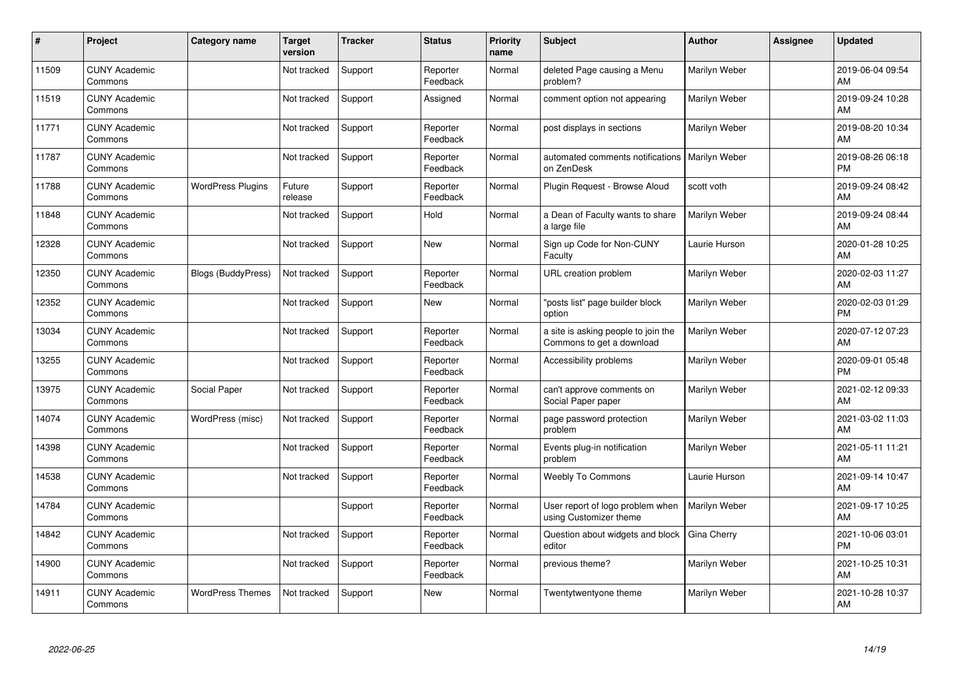| #     | Project                         | <b>Category name</b>      | <b>Target</b><br>version | <b>Tracker</b> | <b>Status</b>        | <b>Priority</b><br>name | <b>Subject</b>                                                   | <b>Author</b> | <b>Assignee</b> | <b>Updated</b>                |
|-------|---------------------------------|---------------------------|--------------------------|----------------|----------------------|-------------------------|------------------------------------------------------------------|---------------|-----------------|-------------------------------|
| 11509 | <b>CUNY Academic</b><br>Commons |                           | Not tracked              | Support        | Reporter<br>Feedback | Normal                  | deleted Page causing a Menu<br>problem?                          | Marilyn Weber |                 | 2019-06-04 09:54<br>AM        |
| 11519 | <b>CUNY Academic</b><br>Commons |                           | Not tracked              | Support        | Assigned             | Normal                  | comment option not appearing                                     | Marilyn Weber |                 | 2019-09-24 10:28<br>AM        |
| 11771 | <b>CUNY Academic</b><br>Commons |                           | Not tracked              | Support        | Reporter<br>Feedback | Normal                  | post displays in sections                                        | Marilyn Weber |                 | 2019-08-20 10:34<br>AM        |
| 11787 | <b>CUNY Academic</b><br>Commons |                           | Not tracked              | Support        | Reporter<br>Feedback | Normal                  | automated comments notifications<br>on ZenDesk                   | Marilyn Weber |                 | 2019-08-26 06:18<br><b>PM</b> |
| 11788 | <b>CUNY Academic</b><br>Commons | <b>WordPress Plugins</b>  | Future<br>release        | Support        | Reporter<br>Feedback | Normal                  | Plugin Request - Browse Aloud                                    | scott voth    |                 | 2019-09-24 08:42<br>AM        |
| 11848 | <b>CUNY Academic</b><br>Commons |                           | Not tracked              | Support        | Hold                 | Normal                  | a Dean of Faculty wants to share<br>a large file                 | Marilyn Weber |                 | 2019-09-24 08:44<br>AM        |
| 12328 | <b>CUNY Academic</b><br>Commons |                           | Not tracked              | Support        | New                  | Normal                  | Sign up Code for Non-CUNY<br>Faculty                             | Laurie Hurson |                 | 2020-01-28 10:25<br>AM        |
| 12350 | <b>CUNY Academic</b><br>Commons | <b>Blogs (BuddyPress)</b> | Not tracked              | Support        | Reporter<br>Feedback | Normal                  | <b>URL</b> creation problem                                      | Marilyn Weber |                 | 2020-02-03 11:27<br>AM        |
| 12352 | <b>CUNY Academic</b><br>Commons |                           | Not tracked              | Support        | <b>New</b>           | Normal                  | "posts list" page builder block<br>option                        | Marilyn Weber |                 | 2020-02-03 01:29<br><b>PM</b> |
| 13034 | <b>CUNY Academic</b><br>Commons |                           | Not tracked              | Support        | Reporter<br>Feedback | Normal                  | a site is asking people to join the<br>Commons to get a download | Marilyn Weber |                 | 2020-07-12 07:23<br>AM        |
| 13255 | <b>CUNY Academic</b><br>Commons |                           | Not tracked              | Support        | Reporter<br>Feedback | Normal                  | Accessibility problems                                           | Marilyn Weber |                 | 2020-09-01 05:48<br><b>PM</b> |
| 13975 | <b>CUNY Academic</b><br>Commons | Social Paper              | Not tracked              | Support        | Reporter<br>Feedback | Normal                  | can't approve comments on<br>Social Paper paper                  | Marilyn Weber |                 | 2021-02-12 09:33<br>AM        |
| 14074 | <b>CUNY Academic</b><br>Commons | WordPress (misc)          | Not tracked              | Support        | Reporter<br>Feedback | Normal                  | page password protection<br>problem                              | Marilyn Weber |                 | 2021-03-02 11:03<br>AM        |
| 14398 | <b>CUNY Academic</b><br>Commons |                           | Not tracked              | Support        | Reporter<br>Feedback | Normal                  | Events plug-in notification<br>problem                           | Marilyn Weber |                 | 2021-05-11 11:21<br>AM        |
| 14538 | <b>CUNY Academic</b><br>Commons |                           | Not tracked              | Support        | Reporter<br>Feedback | Normal                  | <b>Weebly To Commons</b>                                         | Laurie Hurson |                 | 2021-09-14 10:47<br>AM        |
| 14784 | <b>CUNY Academic</b><br>Commons |                           |                          | Support        | Reporter<br>Feedback | Normal                  | User report of logo problem when<br>using Customizer theme       | Marilyn Weber |                 | 2021-09-17 10:25<br>AM        |
| 14842 | <b>CUNY Academic</b><br>Commons |                           | Not tracked              | Support        | Reporter<br>Feedback | Normal                  | Question about widgets and block<br>editor                       | Gina Cherry   |                 | 2021-10-06 03:01<br><b>PM</b> |
| 14900 | <b>CUNY Academic</b><br>Commons |                           | Not tracked              | Support        | Reporter<br>Feedback | Normal                  | previous theme?                                                  | Marilyn Weber |                 | 2021-10-25 10:31<br>AM        |
| 14911 | <b>CUNY Academic</b><br>Commons | <b>WordPress Themes</b>   | Not tracked              | Support        | <b>New</b>           | Normal                  | Twentytwentyone theme                                            | Marilyn Weber |                 | 2021-10-28 10:37<br>AM        |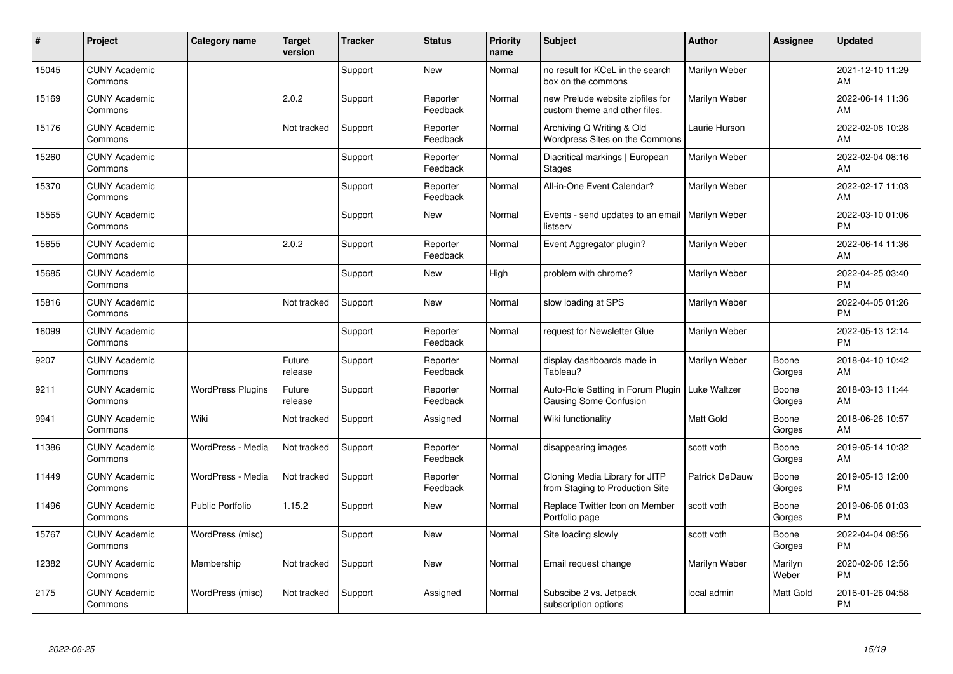| ∦     | Project                         | <b>Category name</b>     | <b>Target</b><br>version | <b>Tracker</b> | <b>Status</b>        | <b>Priority</b><br>name | <b>Subject</b>                                                     | <b>Author</b>    | <b>Assignee</b>  | <b>Updated</b>                |
|-------|---------------------------------|--------------------------|--------------------------|----------------|----------------------|-------------------------|--------------------------------------------------------------------|------------------|------------------|-------------------------------|
| 15045 | <b>CUNY Academic</b><br>Commons |                          |                          | Support        | <b>New</b>           | Normal                  | no result for KCeL in the search<br>box on the commons             | Marilyn Weber    |                  | 2021-12-10 11:29<br>AM        |
| 15169 | <b>CUNY Academic</b><br>Commons |                          | 2.0.2                    | Support        | Reporter<br>Feedback | Normal                  | new Prelude website zipfiles for<br>custom theme and other files.  | Marilyn Weber    |                  | 2022-06-14 11:36<br>AM        |
| 15176 | <b>CUNY Academic</b><br>Commons |                          | Not tracked              | Support        | Reporter<br>Feedback | Normal                  | Archiving Q Writing & Old<br>Wordpress Sites on the Commons        | Laurie Hurson    |                  | 2022-02-08 10:28<br>AM        |
| 15260 | <b>CUNY Academic</b><br>Commons |                          |                          | Support        | Reporter<br>Feedback | Normal                  | Diacritical markings   European<br><b>Stages</b>                   | Marilyn Weber    |                  | 2022-02-04 08:16<br>AM        |
| 15370 | <b>CUNY Academic</b><br>Commons |                          |                          | Support        | Reporter<br>Feedback | Normal                  | All-in-One Event Calendar?                                         | Marilyn Weber    |                  | 2022-02-17 11:03<br>AM        |
| 15565 | <b>CUNY Academic</b><br>Commons |                          |                          | Support        | <b>New</b>           | Normal                  | Events - send updates to an email<br>listserv                      | Marilyn Weber    |                  | 2022-03-10 01:06<br><b>PM</b> |
| 15655 | <b>CUNY Academic</b><br>Commons |                          | 2.0.2                    | Support        | Reporter<br>Feedback | Normal                  | Event Aggregator plugin?                                           | Marilyn Weber    |                  | 2022-06-14 11:36<br>AM        |
| 15685 | <b>CUNY Academic</b><br>Commons |                          |                          | Support        | <b>New</b>           | High                    | problem with chrome?                                               | Marilyn Weber    |                  | 2022-04-25 03:40<br><b>PM</b> |
| 15816 | <b>CUNY Academic</b><br>Commons |                          | Not tracked              | Support        | <b>New</b>           | Normal                  | slow loading at SPS                                                | Marilyn Weber    |                  | 2022-04-05 01:26<br><b>PM</b> |
| 16099 | <b>CUNY Academic</b><br>Commons |                          |                          | Support        | Reporter<br>Feedback | Normal                  | request for Newsletter Glue                                        | Marilyn Weber    |                  | 2022-05-13 12:14<br><b>PM</b> |
| 9207  | <b>CUNY Academic</b><br>Commons |                          | Future<br>release        | Support        | Reporter<br>Feedback | Normal                  | display dashboards made in<br>Tableau?                             | Marilyn Weber    | Boone<br>Gorges  | 2018-04-10 10:42<br>AM        |
| 9211  | <b>CUNY Academic</b><br>Commons | <b>WordPress Plugins</b> | Future<br>release        | Support        | Reporter<br>Feedback | Normal                  | Auto-Role Setting in Forum Plugin<br><b>Causing Some Confusion</b> | Luke Waltzer     | Boone<br>Gorges  | 2018-03-13 11:44<br>AM        |
| 9941  | <b>CUNY Academic</b><br>Commons | Wiki                     | Not tracked              | Support        | Assigned             | Normal                  | Wiki functionality                                                 | <b>Matt Gold</b> | Boone<br>Gorges  | 2018-06-26 10:57<br>AM        |
| 11386 | <b>CUNY Academic</b><br>Commons | WordPress - Media        | Not tracked              | Support        | Reporter<br>Feedback | Normal                  | disappearing images                                                | scott voth       | Boone<br>Gorges  | 2019-05-14 10:32<br>AM        |
| 11449 | <b>CUNY Academic</b><br>Commons | WordPress - Media        | Not tracked              | Support        | Reporter<br>Feedback | Normal                  | Cloning Media Library for JITP<br>from Staging to Production Site  | Patrick DeDauw   | Boone<br>Gorges  | 2019-05-13 12:00<br><b>PM</b> |
| 11496 | <b>CUNY Academic</b><br>Commons | Public Portfolio         | 1.15.2                   | Support        | New                  | Normal                  | Replace Twitter Icon on Member<br>Portfolio page                   | scott voth       | Boone<br>Gorges  | 2019-06-06 01:03<br><b>PM</b> |
| 15767 | <b>CUNY Academic</b><br>Commons | WordPress (misc)         |                          | Support        | New                  | Normal                  | Site loading slowly                                                | scott voth       | Boone<br>Gorges  | 2022-04-04 08:56<br><b>PM</b> |
| 12382 | <b>CUNY Academic</b><br>Commons | Membership               | Not tracked              | Support        | <b>New</b>           | Normal                  | Email request change                                               | Marilyn Weber    | Marilyn<br>Weber | 2020-02-06 12:56<br><b>PM</b> |
| 2175  | <b>CUNY Academic</b><br>Commons | WordPress (misc)         | Not tracked              | Support        | Assigned             | Normal                  | Subscibe 2 vs. Jetpack<br>subscription options                     | local admin      | Matt Gold        | 2016-01-26 04:58<br><b>PM</b> |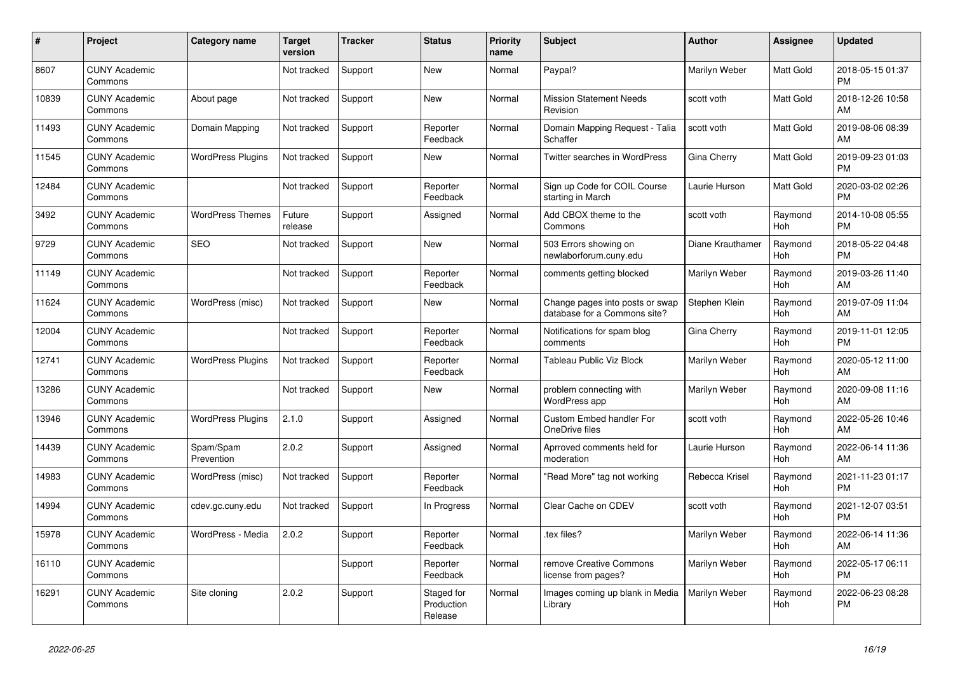| #     | Project                         | <b>Category name</b>     | Target<br>version | <b>Tracker</b> | <b>Status</b>                       | <b>Priority</b><br>name | <b>Subject</b>                                                  | <b>Author</b>    | <b>Assignee</b>       | <b>Updated</b>                |
|-------|---------------------------------|--------------------------|-------------------|----------------|-------------------------------------|-------------------------|-----------------------------------------------------------------|------------------|-----------------------|-------------------------------|
| 8607  | <b>CUNY Academic</b><br>Commons |                          | Not tracked       | Support        | <b>New</b>                          | Normal                  | Paypal?                                                         | Marilyn Weber    | Matt Gold             | 2018-05-15 01:37<br><b>PM</b> |
| 10839 | <b>CUNY Academic</b><br>Commons | About page               | Not tracked       | Support        | <b>New</b>                          | Normal                  | <b>Mission Statement Needs</b><br>Revision                      | scott voth       | Matt Gold             | 2018-12-26 10:58<br>AM        |
| 11493 | <b>CUNY Academic</b><br>Commons | Domain Mapping           | Not tracked       | Support        | Reporter<br>Feedback                | Normal                  | Domain Mapping Request - Talia<br>Schaffer                      | scott voth       | Matt Gold             | 2019-08-06 08:39<br>AM        |
| 11545 | <b>CUNY Academic</b><br>Commons | <b>WordPress Plugins</b> | Not tracked       | Support        | <b>New</b>                          | Normal                  | Twitter searches in WordPress                                   | Gina Cherry      | <b>Matt Gold</b>      | 2019-09-23 01:03<br><b>PM</b> |
| 12484 | <b>CUNY Academic</b><br>Commons |                          | Not tracked       | Support        | Reporter<br>Feedback                | Normal                  | Sign up Code for COIL Course<br>starting in March               | Laurie Hurson    | Matt Gold             | 2020-03-02 02:26<br><b>PM</b> |
| 3492  | <b>CUNY Academic</b><br>Commons | <b>WordPress Themes</b>  | Future<br>release | Support        | Assigned                            | Normal                  | Add CBOX theme to the<br>Commons                                | scott voth       | Raymond<br><b>Hoh</b> | 2014-10-08 05:55<br><b>PM</b> |
| 9729  | <b>CUNY Academic</b><br>Commons | <b>SEO</b>               | Not tracked       | Support        | <b>New</b>                          | Normal                  | 503 Errors showing on<br>newlaborforum.cuny.edu                 | Diane Krauthamer | Raymond<br>Hoh        | 2018-05-22 04:48<br><b>PM</b> |
| 11149 | <b>CUNY Academic</b><br>Commons |                          | Not tracked       | Support        | Reporter<br>Feedback                | Normal                  | comments getting blocked                                        | Marilyn Weber    | Raymond<br><b>Hoh</b> | 2019-03-26 11:40<br>AM        |
| 11624 | <b>CUNY Academic</b><br>Commons | WordPress (misc)         | Not tracked       | Support        | <b>New</b>                          | Normal                  | Change pages into posts or swap<br>database for a Commons site? | Stephen Klein    | Raymond<br><b>Hoh</b> | 2019-07-09 11:04<br>AM        |
| 12004 | <b>CUNY Academic</b><br>Commons |                          | Not tracked       | Support        | Reporter<br>Feedback                | Normal                  | Notifications for spam blog<br>comments                         | Gina Cherry      | Raymond<br>Hoh        | 2019-11-01 12:05<br><b>PM</b> |
| 12741 | <b>CUNY Academic</b><br>Commons | <b>WordPress Plugins</b> | Not tracked       | Support        | Reporter<br>Feedback                | Normal                  | Tableau Public Viz Block                                        | Marilyn Weber    | Raymond<br><b>Hoh</b> | 2020-05-12 11:00<br>AM        |
| 13286 | <b>CUNY Academic</b><br>Commons |                          | Not tracked       | Support        | New                                 | Normal                  | problem connecting with<br>WordPress app                        | Marilyn Weber    | Raymond<br><b>Hoh</b> | 2020-09-08 11:16<br>AM        |
| 13946 | <b>CUNY Academic</b><br>Commons | <b>WordPress Plugins</b> | 2.1.0             | Support        | Assigned                            | Normal                  | <b>Custom Embed handler For</b><br>OneDrive files               | scott voth       | Raymond<br><b>Hoh</b> | 2022-05-26 10:46<br>AM        |
| 14439 | <b>CUNY Academic</b><br>Commons | Spam/Spam<br>Prevention  | 2.0.2             | Support        | Assigned                            | Normal                  | Aprroved comments held for<br>moderation                        | Laurie Hurson    | Raymond<br><b>Hoh</b> | 2022-06-14 11:36<br>AM        |
| 14983 | <b>CUNY Academic</b><br>Commons | WordPress (misc)         | Not tracked       | Support        | Reporter<br>Feedback                | Normal                  | "Read More" tag not working                                     | Rebecca Krisel   | Raymond<br>Hoh        | 2021-11-23 01:17<br><b>PM</b> |
| 14994 | <b>CUNY Academic</b><br>Commons | cdev.gc.cuny.edu         | Not tracked       | Support        | In Progress                         | Normal                  | Clear Cache on CDEV                                             | scott voth       | Raymond<br><b>Hoh</b> | 2021-12-07 03:51<br><b>PM</b> |
| 15978 | <b>CUNY Academic</b><br>Commons | WordPress - Media        | 2.0.2             | Support        | Reporter<br>Feedback                | Normal                  | tex files?                                                      | Marilyn Weber    | Raymond<br><b>Hoh</b> | 2022-06-14 11:36<br>AM        |
| 16110 | <b>CUNY Academic</b><br>Commons |                          |                   | Support        | Reporter<br>Feedback                | Normal                  | remove Creative Commons<br>license from pages?                  | Marilyn Weber    | Raymond<br>Hoh        | 2022-05-17 06:11<br><b>PM</b> |
| 16291 | <b>CUNY Academic</b><br>Commons | Site cloning             | 2.0.2             | Support        | Staged for<br>Production<br>Release | Normal                  | Images coming up blank in Media<br>Library                      | Marilyn Weber    | Raymond<br><b>Hoh</b> | 2022-06-23 08:28<br><b>PM</b> |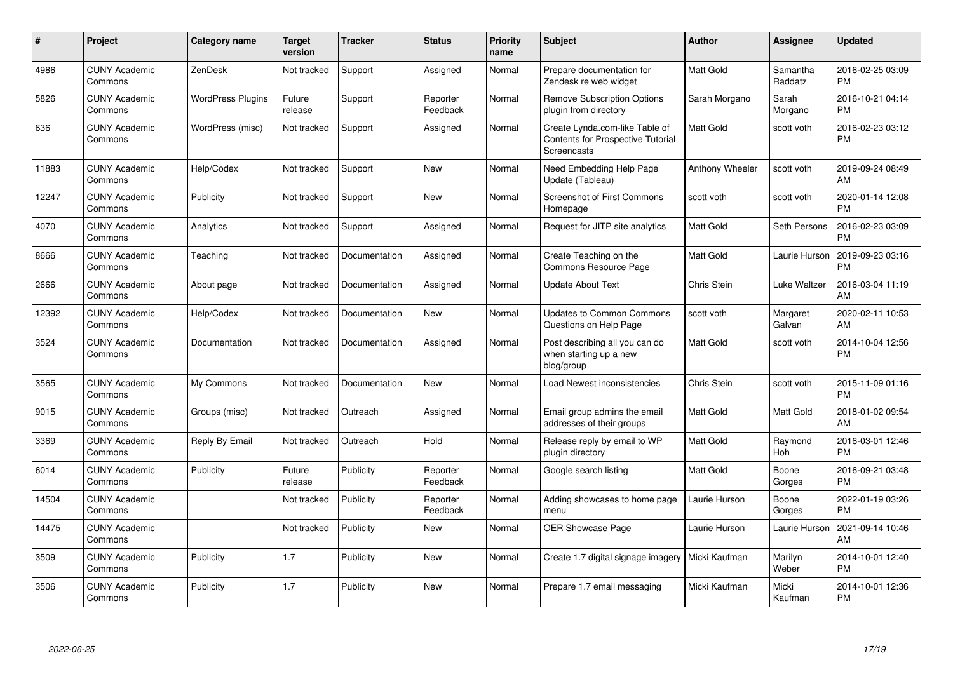| $\#$  | Project                         | <b>Category name</b>     | <b>Target</b><br>version | <b>Tracker</b> | <b>Status</b>        | <b>Priority</b><br>name | <b>Subject</b>                                                                     | <b>Author</b>      | <b>Assignee</b>       | <b>Updated</b>                |
|-------|---------------------------------|--------------------------|--------------------------|----------------|----------------------|-------------------------|------------------------------------------------------------------------------------|--------------------|-----------------------|-------------------------------|
| 4986  | <b>CUNY Academic</b><br>Commons | ZenDesk                  | Not tracked              | Support        | Assigned             | Normal                  | Prepare documentation for<br>Zendesk re web widget                                 | Matt Gold          | Samantha<br>Raddatz   | 2016-02-25 03:09<br><b>PM</b> |
| 5826  | <b>CUNY Academic</b><br>Commons | <b>WordPress Plugins</b> | Future<br>release        | Support        | Reporter<br>Feedback | Normal                  | <b>Remove Subscription Options</b><br>plugin from directory                        | Sarah Morgano      | Sarah<br>Morgano      | 2016-10-21 04:14<br><b>PM</b> |
| 636   | <b>CUNY Academic</b><br>Commons | WordPress (misc)         | Not tracked              | Support        | Assigned             | Normal                  | Create Lynda.com-like Table of<br>Contents for Prospective Tutorial<br>Screencasts | Matt Gold          | scott voth            | 2016-02-23 03:12<br><b>PM</b> |
| 11883 | <b>CUNY Academic</b><br>Commons | Help/Codex               | Not tracked              | Support        | <b>New</b>           | Normal                  | Need Embedding Help Page<br>Update (Tableau)                                       | Anthony Wheeler    | scott voth            | 2019-09-24 08:49<br>AM        |
| 12247 | <b>CUNY Academic</b><br>Commons | Publicity                | Not tracked              | Support        | <b>New</b>           | Normal                  | Screenshot of First Commons<br>Homepage                                            | scott voth         | scott voth            | 2020-01-14 12:08<br><b>PM</b> |
| 4070  | <b>CUNY Academic</b><br>Commons | Analytics                | Not tracked              | Support        | Assigned             | Normal                  | Request for JITP site analytics                                                    | Matt Gold          | Seth Persons          | 2016-02-23 03:09<br><b>PM</b> |
| 8666  | <b>CUNY Academic</b><br>Commons | Teaching                 | Not tracked              | Documentation  | Assigned             | Normal                  | Create Teaching on the<br>Commons Resource Page                                    | Matt Gold          | Laurie Hurson         | 2019-09-23 03:16<br><b>PM</b> |
| 2666  | <b>CUNY Academic</b><br>Commons | About page               | Not tracked              | Documentation  | Assigned             | Normal                  | <b>Update About Text</b>                                                           | <b>Chris Stein</b> | Luke Waltzer          | 2016-03-04 11:19<br>AM        |
| 12392 | <b>CUNY Academic</b><br>Commons | Help/Codex               | Not tracked              | Documentation  | <b>New</b>           | Normal                  | <b>Updates to Common Commons</b><br>Questions on Help Page                         | scott voth         | Margaret<br>Galvan    | 2020-02-11 10:53<br>AM        |
| 3524  | <b>CUNY Academic</b><br>Commons | Documentation            | Not tracked              | Documentation  | Assigned             | Normal                  | Post describing all you can do<br>when starting up a new<br>blog/group             | Matt Gold          | scott voth            | 2014-10-04 12:56<br><b>PM</b> |
| 3565  | <b>CUNY Academic</b><br>Commons | My Commons               | Not tracked              | Documentation  | <b>New</b>           | Normal                  | Load Newest inconsistencies                                                        | <b>Chris Stein</b> | scott voth            | 2015-11-09 01:16<br><b>PM</b> |
| 9015  | <b>CUNY Academic</b><br>Commons | Groups (misc)            | Not tracked              | Outreach       | Assigned             | Normal                  | Email group admins the email<br>addresses of their groups                          | Matt Gold          | Matt Gold             | 2018-01-02 09:54<br>AM        |
| 3369  | <b>CUNY Academic</b><br>Commons | Reply By Email           | Not tracked              | Outreach       | Hold                 | Normal                  | Release reply by email to WP<br>plugin directory                                   | Matt Gold          | Raymond<br><b>Hoh</b> | 2016-03-01 12:46<br><b>PM</b> |
| 6014  | <b>CUNY Academic</b><br>Commons | Publicity                | Future<br>release        | Publicity      | Reporter<br>Feedback | Normal                  | Google search listing                                                              | Matt Gold          | Boone<br>Gorges       | 2016-09-21 03:48<br><b>PM</b> |
| 14504 | <b>CUNY Academic</b><br>Commons |                          | Not tracked              | Publicity      | Reporter<br>Feedback | Normal                  | Adding showcases to home page<br>menu                                              | Laurie Hurson      | Boone<br>Gorges       | 2022-01-19 03:26<br><b>PM</b> |
| 14475 | <b>CUNY Academic</b><br>Commons |                          | Not tracked              | Publicity      | <b>New</b>           | Normal                  | <b>OER Showcase Page</b>                                                           | Laurie Hurson      | Laurie Hurson         | 2021-09-14 10:46<br>AM        |
| 3509  | <b>CUNY Academic</b><br>Commons | Publicity                | 1.7                      | Publicity      | <b>New</b>           | Normal                  | Create 1.7 digital signage imagery                                                 | Micki Kaufman      | Marilyn<br>Weber      | 2014-10-01 12:40<br><b>PM</b> |
| 3506  | <b>CUNY Academic</b><br>Commons | Publicity                | 1.7                      | Publicity      | <b>New</b>           | Normal                  | Prepare 1.7 email messaging                                                        | Micki Kaufman      | Micki<br>Kaufman      | 2014-10-01 12:36<br><b>PM</b> |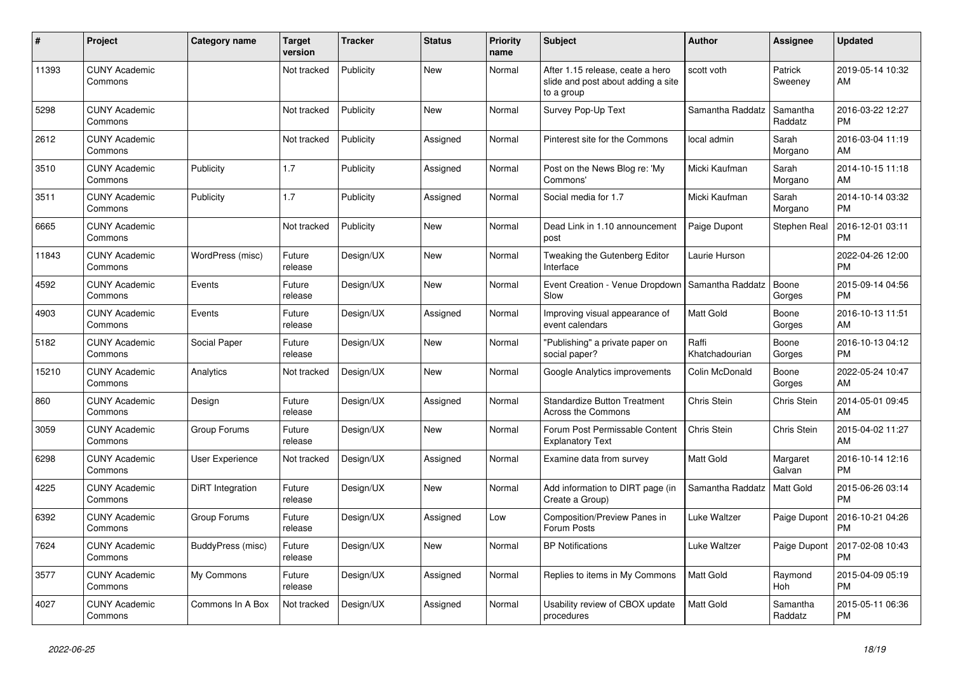| #     | Project                         | <b>Category name</b>    | Target<br>version | <b>Tracker</b> | <b>Status</b> | <b>Priority</b><br>name | <b>Subject</b>                                                                       | <b>Author</b>           | <b>Assignee</b>       | <b>Updated</b>                |
|-------|---------------------------------|-------------------------|-------------------|----------------|---------------|-------------------------|--------------------------------------------------------------------------------------|-------------------------|-----------------------|-------------------------------|
| 11393 | <b>CUNY Academic</b><br>Commons |                         | Not tracked       | Publicity      | New           | Normal                  | After 1.15 release, ceate a hero<br>slide and post about adding a site<br>to a group | scott voth              | Patrick<br>Sweeney    | 2019-05-14 10:32<br>AM        |
| 5298  | <b>CUNY Academic</b><br>Commons |                         | Not tracked       | Publicity      | New           | Normal                  | Survey Pop-Up Text                                                                   | Samantha Raddatz        | Samantha<br>Raddatz   | 2016-03-22 12:27<br><b>PM</b> |
| 2612  | <b>CUNY Academic</b><br>Commons |                         | Not tracked       | Publicity      | Assigned      | Normal                  | Pinterest site for the Commons                                                       | local admin             | Sarah<br>Morgano      | 2016-03-04 11:19<br>AM        |
| 3510  | <b>CUNY Academic</b><br>Commons | Publicity               | 1.7               | Publicity      | Assigned      | Normal                  | Post on the News Blog re: 'My<br>Commons'                                            | Micki Kaufman           | Sarah<br>Morgano      | 2014-10-15 11:18<br>AM        |
| 3511  | <b>CUNY Academic</b><br>Commons | Publicity               | 1.7               | Publicity      | Assigned      | Normal                  | Social media for 1.7                                                                 | Micki Kaufman           | Sarah<br>Morgano      | 2014-10-14 03:32<br><b>PM</b> |
| 6665  | <b>CUNY Academic</b><br>Commons |                         | Not tracked       | Publicity      | New           | Normal                  | Dead Link in 1.10 announcement<br>post                                               | Paige Dupont            | <b>Stephen Real</b>   | 2016-12-01 03:11<br><b>PM</b> |
| 11843 | <b>CUNY Academic</b><br>Commons | WordPress (misc)        | Future<br>release | Design/UX      | <b>New</b>    | Normal                  | Tweaking the Gutenberg Editor<br>Interface                                           | Laurie Hurson           |                       | 2022-04-26 12:00<br><b>PM</b> |
| 4592  | <b>CUNY Academic</b><br>Commons | Events                  | Future<br>release | Design/UX      | New           | Normal                  | Event Creation - Venue Dropdown<br>Slow                                              | Samantha Raddatz        | Boone<br>Gorges       | 2015-09-14 04:56<br><b>PM</b> |
| 4903  | <b>CUNY Academic</b><br>Commons | Events                  | Future<br>release | Design/UX      | Assigned      | Normal                  | Improving visual appearance of<br>event calendars                                    | Matt Gold               | Boone<br>Gorges       | 2016-10-13 11:51<br>AM        |
| 5182  | <b>CUNY Academic</b><br>Commons | Social Paper            | Future<br>release | Design/UX      | New           | Normal                  | "Publishing" a private paper on<br>social paper?                                     | Raffi<br>Khatchadourian | Boone<br>Gorges       | 2016-10-13 04:12<br><b>PM</b> |
| 15210 | <b>CUNY Academic</b><br>Commons | Analytics               | Not tracked       | Design/UX      | <b>New</b>    | Normal                  | Google Analytics improvements                                                        | Colin McDonald          | Boone<br>Gorges       | 2022-05-24 10:47<br>AM        |
| 860   | <b>CUNY Academic</b><br>Commons | Design                  | Future<br>release | Design/UX      | Assigned      | Normal                  | <b>Standardize Button Treatment</b><br><b>Across the Commons</b>                     | Chris Stein             | Chris Stein           | 2014-05-01 09:45<br>AM        |
| 3059  | <b>CUNY Academic</b><br>Commons | Group Forums            | Future<br>release | Design/UX      | <b>New</b>    | Normal                  | Forum Post Permissable Content<br><b>Explanatory Text</b>                            | <b>Chris Stein</b>      | Chris Stein           | 2015-04-02 11:27<br>AM        |
| 6298  | <b>CUNY Academic</b><br>Commons | <b>User Experience</b>  | Not tracked       | Design/UX      | Assigned      | Normal                  | Examine data from survey                                                             | Matt Gold               | Margaret<br>Galvan    | 2016-10-14 12:16<br><b>PM</b> |
| 4225  | <b>CUNY Academic</b><br>Commons | <b>DiRT</b> Integration | Future<br>release | Design/UX      | <b>New</b>    | Normal                  | Add information to DIRT page (in<br>Create a Group)                                  | Samantha Raddatz        | Matt Gold             | 2015-06-26 03:14<br><b>PM</b> |
| 6392  | <b>CUNY Academic</b><br>Commons | Group Forums            | Future<br>release | Design/UX      | Assigned      | Low                     | Composition/Preview Panes in<br>Forum Posts                                          | Luke Waltzer            | Paige Dupont          | 2016-10-21 04:26<br><b>PM</b> |
| 7624  | <b>CUNY Academic</b><br>Commons | BuddyPress (misc)       | Future<br>release | Design/UX      | <b>New</b>    | Normal                  | <b>BP</b> Notifications                                                              | Luke Waltzer            | Paige Dupont          | 2017-02-08 10:43<br><b>PM</b> |
| 3577  | <b>CUNY Academic</b><br>Commons | My Commons              | Future<br>release | Design/UX      | Assigned      | Normal                  | Replies to items in My Commons                                                       | Matt Gold               | Raymond<br><b>Hoh</b> | 2015-04-09 05:19<br><b>PM</b> |
| 4027  | <b>CUNY Academic</b><br>Commons | Commons In A Box        | Not tracked       | Design/UX      | Assigned      | Normal                  | Usability review of CBOX update<br>procedures                                        | Matt Gold               | Samantha<br>Raddatz   | 2015-05-11 06:36<br><b>PM</b> |